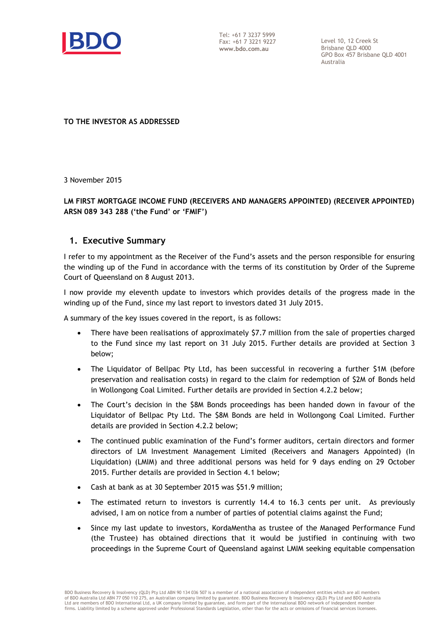

Tel: +61 7 3237 5999 Fax: +61 7 3221 9227 **www.bdo.com.au**

Level 10, 12 Creek St Brisbane QLD 4000 GPO Box 457 Brisbane QLD 4001 Australia

**TO THE INVESTOR AS ADDRESSED** 

3 November 2015

### **LM FIRST MORTGAGE INCOME FUND (RECEIVERS AND MANAGERS APPOINTED) (RECEIVER APPOINTED) ARSN 089 343 288 ('the Fund' or 'FMIF')**

#### **1. Executive Summary**

I refer to my appointment as the Receiver of the Fund's assets and the person responsible for ensuring the winding up of the Fund in accordance with the terms of its constitution by Order of the Supreme Court of Queensland on 8 August 2013.

I now provide my eleventh update to investors which provides details of the progress made in the winding up of the Fund, since my last report to investors dated 31 July 2015.

A summary of the key issues covered in the report, is as follows:

- There have been realisations of approximately \$7.7 million from the sale of properties charged to the Fund since my last report on 31 July 2015. Further details are provided at Section 3 below;
- The Liquidator of Bellpac Pty Ltd, has been successful in recovering a further \$1M (before preservation and realisation costs) in regard to the claim for redemption of \$2M of Bonds held in Wollongong Coal Limited. Further details are provided in Section 4.2.2 below;
- The Court's decision in the \$8M Bonds proceedings has been handed down in favour of the Liquidator of Bellpac Pty Ltd. The \$8M Bonds are held in Wollongong Coal Limited. Further details are provided in Section 4.2.2 below;
- The continued public examination of the Fund's former auditors, certain directors and former directors of LM Investment Management Limited (Receivers and Managers Appointed) (In Liquidation) (LMIM) and three additional persons was held for 9 days ending on 29 October 2015. Further details are provided in Section 4.1 below;
- Cash at bank as at 30 September 2015 was \$51.9 million;
- The estimated return to investors is currently 14.4 to 16.3 cents per unit. As previously advised, I am on notice from a number of parties of potential claims against the Fund;
- Since my last update to investors, KordaMentha as trustee of the Managed Performance Fund (the Trustee) has obtained directions that it would be justified in continuing with two proceedings in the Supreme Court of Queensland against LMIM seeking equitable compensation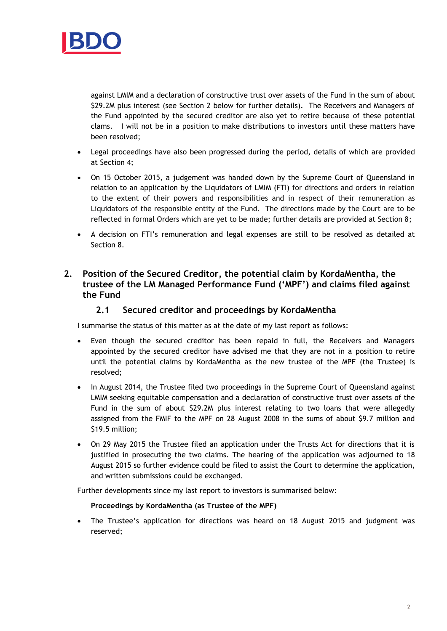

against LMIM and a declaration of constructive trust over assets of the Fund in the sum of about \$29.2M plus interest (see Section 2 below for further details). The Receivers and Managers of the Fund appointed by the secured creditor are also yet to retire because of these potential clams. I will not be in a position to make distributions to investors until these matters have been resolved;

- Legal proceedings have also been progressed during the period, details of which are provided at Section 4;
- On 15 October 2015, a judgement was handed down by the Supreme Court of Queensland in relation to an application by the Liquidators of LMIM (FTI) for directions and orders in relation to the extent of their powers and responsibilities and in respect of their remuneration as Liquidators of the responsible entity of the Fund. The directions made by the Court are to be reflected in formal Orders which are yet to be made; further details are provided at Section 8;
- A decision on FTI's remuneration and legal expenses are still to be resolved as detailed at Section 8.

## **2. Position of the Secured Creditor, the potential claim by KordaMentha, the trustee of the LM Managed Performance Fund ('MPF') and claims filed against the Fund**

## **2.1 Secured creditor and proceedings by KordaMentha**

I summarise the status of this matter as at the date of my last report as follows:

- Even though the secured creditor has been repaid in full, the Receivers and Managers appointed by the secured creditor have advised me that they are not in a position to retire until the potential claims by KordaMentha as the new trustee of the MPF (the Trustee) is resolved;
- In August 2014, the Trustee filed two proceedings in the Supreme Court of Queensland against LMIM seeking equitable compensation and a declaration of constructive trust over assets of the Fund in the sum of about \$29.2M plus interest relating to two loans that were allegedly assigned from the FMIF to the MPF on 28 August 2008 in the sums of about \$9.7 million and \$19.5 million;
- On 29 May 2015 the Trustee filed an application under the Trusts Act for directions that it is justified in prosecuting the two claims. The hearing of the application was adjourned to 18 August 2015 so further evidence could be filed to assist the Court to determine the application, and written submissions could be exchanged.

Further developments since my last report to investors is summarised below:

#### **Proceedings by KordaMentha (as Trustee of the MPF)**

 The Trustee's application for directions was heard on 18 August 2015 and judgment was reserved;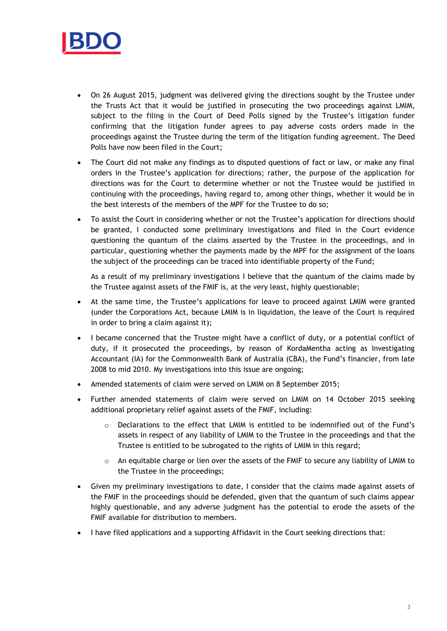

- On 26 August 2015, judgment was delivered giving the directions sought by the Trustee under the Trusts Act that it would be justified in prosecuting the two proceedings against LMIM, subject to the filing in the Court of Deed Polls signed by the Trustee's litigation funder confirming that the litigation funder agrees to pay adverse costs orders made in the proceedings against the Trustee during the term of the litigation funding agreement. The Deed Polls have now been filed in the Court;
- The Court did not make any findings as to disputed questions of fact or law, or make any final orders in the Trustee's application for directions; rather, the purpose of the application for directions was for the Court to determine whether or not the Trustee would be justified in continuing with the proceedings, having regard to, among other things, whether it would be in the best interests of the members of the MPF for the Trustee to do so;
- To assist the Court in considering whether or not the Trustee's application for directions should be granted, I conducted some preliminary investigations and filed in the Court evidence questioning the quantum of the claims asserted by the Trustee in the proceedings, and in particular, questioning whether the payments made by the MPF for the assignment of the loans the subject of the proceedings can be traced into identifiable property of the Fund;

As a result of my preliminary investigations I believe that the quantum of the claims made by the Trustee against assets of the FMIF is, at the very least, highly questionable;

- At the same time, the Trustee's applications for leave to proceed against LMIM were granted (under the Corporations Act, because LMIM is in liquidation, the leave of the Court is required in order to bring a claim against it);
- I became concerned that the Trustee might have a conflict of duty, or a potential conflict of duty, if it prosecuted the proceedings, by reason of KordaMentha acting as Investigating Accountant (IA) for the Commonwealth Bank of Australia (CBA), the Fund's financier, from late 2008 to mid 2010. My investigations into this issue are ongoing;
- Amended statements of claim were served on LMIM on 8 September 2015;
- Further amended statements of claim were served on LMIM on 14 October 2015 seeking additional proprietary relief against assets of the FMIF, including:
	- o Declarations to the effect that LMIM is entitled to be indemnified out of the Fund's assets in respect of any liability of LMIM to the Trustee in the proceedings and that the Trustee is entitled to be subrogated to the rights of LMIM in this regard;
	- $\circ$  An equitable charge or lien over the assets of the FMIF to secure any liability of LMIM to the Trustee in the proceedings;
- Given my preliminary investigations to date, I consider that the claims made against assets of the FMIF in the proceedings should be defended, given that the quantum of such claims appear highly questionable, and any adverse judgment has the potential to erode the assets of the FMIF available for distribution to members.
- I have filed applications and a supporting Affidavit in the Court seeking directions that: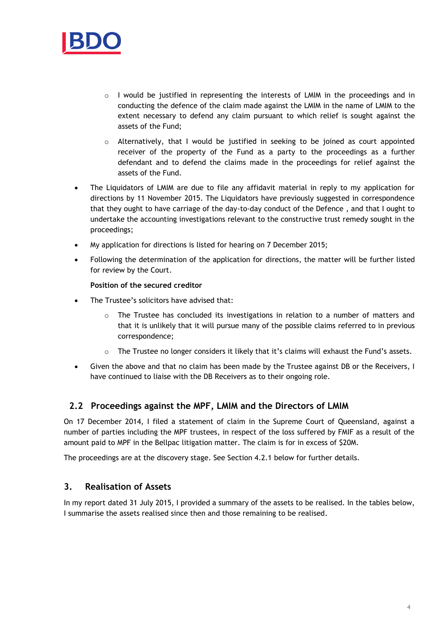

- $\circ$  I would be justified in representing the interests of LMIM in the proceedings and in conducting the defence of the claim made against the LMIM in the name of LMIM to the extent necessary to defend any claim pursuant to which relief is sought against the assets of the Fund;
- $\circ$  Alternatively, that I would be justified in seeking to be joined as court appointed receiver of the property of the Fund as a party to the proceedings as a further defendant and to defend the claims made in the proceedings for relief against the assets of the Fund.
- The Liquidators of LMIM are due to file any affidavit material in reply to my application for directions by 11 November 2015. The Liquidators have previously suggested in correspondence that they ought to have carriage of the day-to-day conduct of the Defence , and that I ought to undertake the accounting investigations relevant to the constructive trust remedy sought in the proceedings;
- My application for directions is listed for hearing on 7 December 2015;
- Following the determination of the application for directions, the matter will be further listed for review by the Court.

#### **Position of the secured creditor**

- The Trustee's solicitors have advised that:
	- o The Trustee has concluded its investigations in relation to a number of matters and that it is unlikely that it will pursue many of the possible claims referred to in previous correspondence;
	- $\circ$  The Trustee no longer considers it likely that it's claims will exhaust the Fund's assets.
- Given the above and that no claim has been made by the Trustee against DB or the Receivers, I have continued to liaise with the DB Receivers as to their ongoing role.

## **2.2 Proceedings against the MPF, LMIM and the Directors of LMIM**

On 17 December 2014, I filed a statement of claim in the Supreme Court of Queensland, against a number of parties including the MPF trustees, in respect of the loss suffered by FMIF as a result of the amount paid to MPF in the Bellpac litigation matter. The claim is for in excess of \$20M.

The proceedings are at the discovery stage. See Section 4.2.1 below for further details.

## **3. Realisation of Assets**

In my report dated 31 July 2015, I provided a summary of the assets to be realised. In the tables below, I summarise the assets realised since then and those remaining to be realised.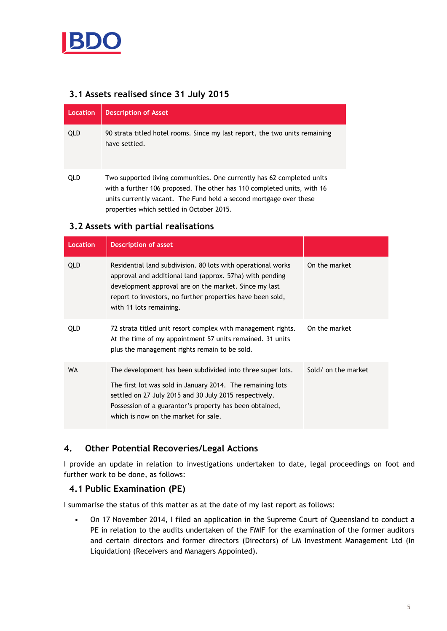

## **3.1 Assets realised since 31 July 2015**

| Location   | <b>Description of Asset</b>                                                                                                                                                                                                                                          |
|------------|----------------------------------------------------------------------------------------------------------------------------------------------------------------------------------------------------------------------------------------------------------------------|
| <b>QLD</b> | 90 strata titled hotel rooms. Since my last report, the two units remaining<br>have settled.                                                                                                                                                                         |
| QLD        | Two supported living communities. One currently has 62 completed units<br>with a further 106 proposed. The other has 110 completed units, with 16<br>units currently vacant. The Fund held a second mortgage over these<br>properties which settled in October 2015. |

## **3.2 Assets with partial realisations**

| Location   | <b>Description of asset</b>                                                                                                                                                                                                                                                           |                     |
|------------|---------------------------------------------------------------------------------------------------------------------------------------------------------------------------------------------------------------------------------------------------------------------------------------|---------------------|
| <b>QLD</b> | Residential land subdivision. 80 lots with operational works<br>approval and additional land (approx. 57ha) with pending<br>development approval are on the market. Since my last<br>report to investors, no further properties have been sold,<br>with 11 lots remaining.            | On the market       |
| <b>QLD</b> | 72 strata titled unit resort complex with management rights.<br>At the time of my appointment 57 units remained. 31 units<br>plus the management rights remain to be sold.                                                                                                            | On the market       |
| <b>WA</b>  | The development has been subdivided into three super lots.<br>The first lot was sold in January 2014. The remaining lots<br>settled on 27 July 2015 and 30 July 2015 respectively.<br>Possession of a guarantor's property has been obtained,<br>which is now on the market for sale. | Sold/ on the market |

## **4. Other Potential Recoveries/Legal Actions**

I provide an update in relation to investigations undertaken to date, legal proceedings on foot and further work to be done, as follows:

## **4.1 Public Examination (PE)**

I summarise the status of this matter as at the date of my last report as follows:

• On 17 November 2014, I filed an application in the Supreme Court of Queensland to conduct a PE in relation to the audits undertaken of the FMIF for the examination of the former auditors and certain directors and former directors (Directors) of LM Investment Management Ltd (In Liquidation) (Receivers and Managers Appointed).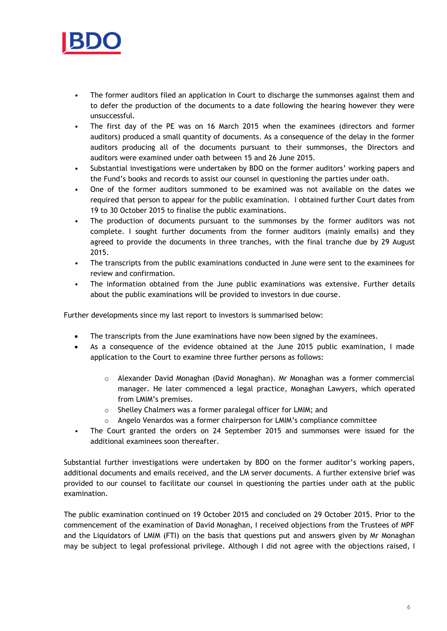

- The former auditors filed an application in Court to discharge the summonses against them and to defer the production of the documents to a date following the hearing however they were unsuccessful.
- The first day of the PE was on 16 March 2015 when the examinees (directors and former auditors) produced a small quantity of documents. As a consequence of the delay in the former auditors producing all of the documents pursuant to their summonses, the Directors and auditors were examined under oath between 15 and 26 June 2015.
- Substantial investigations were undertaken by BDO on the former auditors' working papers and the Fund's books and records to assist our counsel in questioning the parties under oath.
- One of the former auditors summoned to be examined was not available on the dates we required that person to appear for the public examination. I obtained further Court dates from 19 to 30 October 2015 to finalise the public examinations.
- The production of documents pursuant to the summonses by the former auditors was not complete. I sought further documents from the former auditors (mainly emails) and they agreed to provide the documents in three tranches, with the final tranche due by 29 August 2015.
- The transcripts from the public examinations conducted in June were sent to the examinees for review and confirmation.
- The information obtained from the June public examinations was extensive. Further details about the public examinations will be provided to investors in due course.

Further developments since my last report to investors is summarised below:

- The transcripts from the June examinations have now been signed by the examinees.
- As a consequence of the evidence obtained at the June 2015 public examination, I made application to the Court to examine three further persons as follows:
	- o Alexander David Monaghan (David Monaghan). Mr Monaghan was a former commercial manager. He later commenced a legal practice, Monaghan Lawyers, which operated from LMIM's premises.
	- o Shelley Chalmers was a former paralegal officer for LMIM; and
	- Angelo Venardos was a former chairperson for LMIM's compliance committee
- The Court granted the orders on 24 September 2015 and summonses were issued for the additional examinees soon thereafter.

Substantial further investigations were undertaken by BDO on the former auditor's working papers, additional documents and emails received, and the LM server documents. A further extensive brief was provided to our counsel to facilitate our counsel in questioning the parties under oath at the public examination.

The public examination continued on 19 October 2015 and concluded on 29 October 2015. Prior to the commencement of the examination of David Monaghan, I received objections from the Trustees of MPF and the Liquidators of LMIM (FTI) on the basis that questions put and answers given by Mr Monaghan may be subject to legal professional privilege. Although I did not agree with the objections raised, I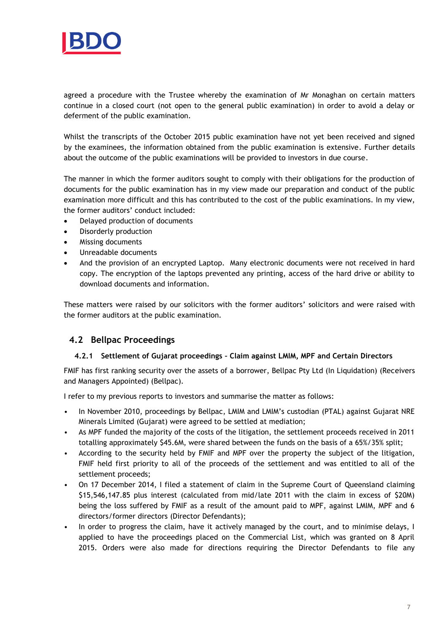

agreed a procedure with the Trustee whereby the examination of Mr Monaghan on certain matters continue in a closed court (not open to the general public examination) in order to avoid a delay or deferment of the public examination.

Whilst the transcripts of the October 2015 public examination have not yet been received and signed by the examinees, the information obtained from the public examination is extensive. Further details about the outcome of the public examinations will be provided to investors in due course.

The manner in which the former auditors sought to comply with their obligations for the production of documents for the public examination has in my view made our preparation and conduct of the public examination more difficult and this has contributed to the cost of the public examinations. In my view, the former auditors' conduct included:

- Delayed production of documents
- Disorderly production
- Missing documents
- Unreadable documents
- And the provision of an encrypted Laptop. Many electronic documents were not received in hard copy. The encryption of the laptops prevented any printing, access of the hard drive or ability to download documents and information.

These matters were raised by our solicitors with the former auditors' solicitors and were raised with the former auditors at the public examination.

## **4.2 Bellpac Proceedings**

#### **4.2.1 Settlement of Gujarat proceedings – Claim against LMIM, MPF and Certain Directors**

FMIF has first ranking security over the assets of a borrower, Bellpac Pty Ltd (In Liquidation) (Receivers and Managers Appointed) (Bellpac).

I refer to my previous reports to investors and summarise the matter as follows:

- In November 2010, proceedings by Bellpac, LMIM and LMIM's custodian (PTAL) against Gujarat NRE Minerals Limited (Gujarat) were agreed to be settled at mediation;
- As MPF funded the majority of the costs of the litigation, the settlement proceeds received in 2011 totalling approximately \$45.6M, were shared between the funds on the basis of a 65%/35% split;
- According to the security held by FMIF and MPF over the property the subject of the litigation, FMIF held first priority to all of the proceeds of the settlement and was entitled to all of the settlement proceeds;
- On 17 December 2014, I filed a statement of claim in the Supreme Court of Queensland claiming \$15,546,147.85 plus interest (calculated from mid/late 2011 with the claim in excess of \$20M) being the loss suffered by FMIF as a result of the amount paid to MPF, against LMIM, MPF and 6 directors/former directors (Director Defendants);
- In order to progress the claim, have it actively managed by the court, and to minimise delays, I applied to have the proceedings placed on the Commercial List, which was granted on 8 April 2015. Orders were also made for directions requiring the Director Defendants to file any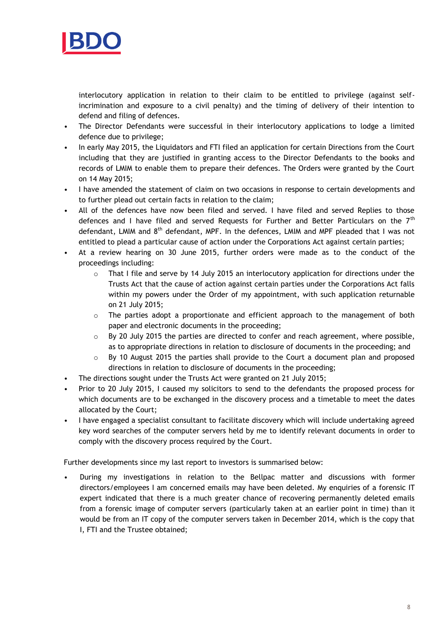

interlocutory application in relation to their claim to be entitled to privilege (against selfincrimination and exposure to a civil penalty) and the timing of delivery of their intention to defend and filing of defences.

- The Director Defendants were successful in their interlocutory applications to lodge a limited defence due to privilege;
- In early May 2015, the Liquidators and FTI filed an application for certain Directions from the Court including that they are justified in granting access to the Director Defendants to the books and records of LMIM to enable them to prepare their defences. The Orders were granted by the Court on 14 May 2015;
- I have amended the statement of claim on two occasions in response to certain developments and to further plead out certain facts in relation to the claim;
- All of the defences have now been filed and served. I have filed and served Replies to those defences and I have filed and served Requests for Further and Better Particulars on the  $7<sup>th</sup>$ defendant, LMIM and 8<sup>th</sup> defendant, MPF. In the defences, LMIM and MPF pleaded that I was not entitled to plead a particular cause of action under the Corporations Act against certain parties;
- At a review hearing on 30 June 2015, further orders were made as to the conduct of the proceedings including:
	- $\circ$  That I file and serve by 14 July 2015 an interlocutory application for directions under the Trusts Act that the cause of action against certain parties under the Corporations Act falls within my powers under the Order of my appointment, with such application returnable on 21 July 2015;
	- o The parties adopt a proportionate and efficient approach to the management of both paper and electronic documents in the proceeding;
	- o By 20 July 2015 the parties are directed to confer and reach agreement, where possible, as to appropriate directions in relation to disclosure of documents in the proceeding; and
	- $\circ$  By 10 August 2015 the parties shall provide to the Court a document plan and proposed directions in relation to disclosure of documents in the proceeding;
- The directions sought under the Trusts Act were granted on 21 July 2015;
- Prior to 20 July 2015, I caused my solicitors to send to the defendants the proposed process for which documents are to be exchanged in the discovery process and a timetable to meet the dates allocated by the Court;
- I have engaged a specialist consultant to facilitate discovery which will include undertaking agreed key word searches of the computer servers held by me to identify relevant documents in order to comply with the discovery process required by the Court.

Further developments since my last report to investors is summarised below:

• During my investigations in relation to the Bellpac matter and discussions with former directors/employees I am concerned emails may have been deleted. My enquiries of a forensic IT expert indicated that there is a much greater chance of recovering permanently deleted emails from a forensic image of computer servers (particularly taken at an earlier point in time) than it would be from an IT copy of the computer servers taken in December 2014, which is the copy that I, FTI and the Trustee obtained;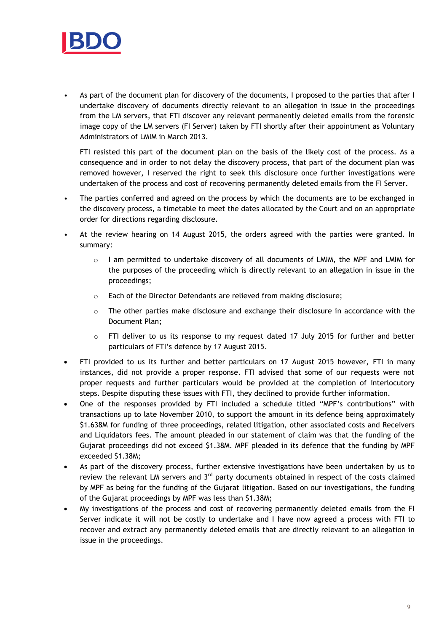

As part of the document plan for discovery of the documents, I proposed to the parties that after I undertake discovery of documents directly relevant to an allegation in issue in the proceedings from the LM servers, that FTI discover any relevant permanently deleted emails from the forensic image copy of the LM servers (FI Server) taken by FTI shortly after their appointment as Voluntary Administrators of LMIM in March 2013.

FTI resisted this part of the document plan on the basis of the likely cost of the process. As a consequence and in order to not delay the discovery process, that part of the document plan was removed however, I reserved the right to seek this disclosure once further investigations were undertaken of the process and cost of recovering permanently deleted emails from the FI Server.

- The parties conferred and agreed on the process by which the documents are to be exchanged in the discovery process, a timetable to meet the dates allocated by the Court and on an appropriate order for directions regarding disclosure.
- At the review hearing on 14 August 2015, the orders agreed with the parties were granted. In summary:
	- o I am permitted to undertake discovery of all documents of LMIM, the MPF and LMIM for the purposes of the proceeding which is directly relevant to an allegation in issue in the proceedings;
	- o Each of the Director Defendants are relieved from making disclosure;
	- $\circ$  The other parties make disclosure and exchange their disclosure in accordance with the Document Plan;
	- o FTI deliver to us its response to my request dated 17 July 2015 for further and better particulars of FTI's defence by 17 August 2015.
- FTI provided to us its further and better particulars on 17 August 2015 however, FTI in many instances, did not provide a proper response. FTI advised that some of our requests were not proper requests and further particulars would be provided at the completion of interlocutory steps. Despite disputing these issues with FTI, they declined to provide further information.
- One of the responses provided by FTI included a schedule titled "MPF's contributions" with transactions up to late November 2010, to support the amount in its defence being approximately \$1.638M for funding of three proceedings, related litigation, other associated costs and Receivers and Liquidators fees. The amount pleaded in our statement of claim was that the funding of the Gujarat proceedings did not exceed \$1.38M. MPF pleaded in its defence that the funding by MPF exceeded \$1.38M;
- As part of the discovery process, further extensive investigations have been undertaken by us to review the relevant LM servers and  $3<sup>rd</sup>$  party documents obtained in respect of the costs claimed by MPF as being for the funding of the Gujarat litigation. Based on our investigations, the funding of the Gujarat proceedings by MPF was less than \$1.38M;
- My investigations of the process and cost of recovering permanently deleted emails from the FI Server indicate it will not be costly to undertake and I have now agreed a process with FTI to recover and extract any permanently deleted emails that are directly relevant to an allegation in issue in the proceedings.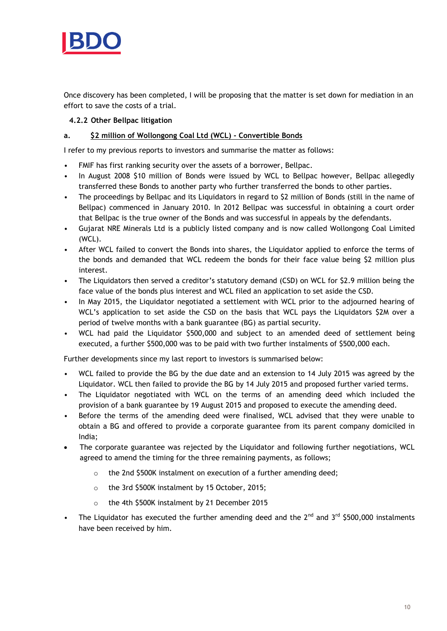

Once discovery has been completed, I will be proposing that the matter is set down for mediation in an effort to save the costs of a trial.

#### **4.2.2 Other Bellpac litigation**

#### **a. \$2 million of Wollongong Coal Ltd (WCL) - Convertible Bonds**

I refer to my previous reports to investors and summarise the matter as follows:

- FMIF has first ranking security over the assets of a borrower, Bellpac.
- In August 2008 \$10 million of Bonds were issued by WCL to Bellpac however, Bellpac allegedly transferred these Bonds to another party who further transferred the bonds to other parties.
- The proceedings by Bellpac and its Liquidators in regard to \$2 million of Bonds (still in the name of Bellpac) commenced in January 2010. In 2012 Bellpac was successful in obtaining a court order that Bellpac is the true owner of the Bonds and was successful in appeals by the defendants.
- Gujarat NRE Minerals Ltd is a publicly listed company and is now called Wollongong Coal Limited (WCL).
- After WCL failed to convert the Bonds into shares, the Liquidator applied to enforce the terms of the bonds and demanded that WCL redeem the bonds for their face value being \$2 million plus interest.
- The Liquidators then served a creditor's statutory demand (CSD) on WCL for \$2.9 million being the face value of the bonds plus interest and WCL filed an application to set aside the CSD.
- In May 2015, the Liquidator negotiated a settlement with WCL prior to the adjourned hearing of WCL's application to set aside the CSD on the basis that WCL pays the Liquidators \$2M over a period of twelve months with a bank guarantee (BG) as partial security.
- WCL had paid the Liquidator \$500,000 and subject to an amended deed of settlement being executed, a further \$500,000 was to be paid with two further instalments of \$500,000 each.

Further developments since my last report to investors is summarised below:

- WCL failed to provide the BG by the due date and an extension to 14 July 2015 was agreed by the Liquidator. WCL then failed to provide the BG by 14 July 2015 and proposed further varied terms.
- The Liquidator negotiated with WCL on the terms of an amending deed which included the provision of a bank guarantee by 19 August 2015 and proposed to execute the amending deed.
- Before the terms of the amending deed were finalised, WCL advised that they were unable to obtain a BG and offered to provide a corporate guarantee from its parent company domiciled in India;
- The corporate guarantee was rejected by the Liquidator and following further negotiations, WCL agreed to amend the timing for the three remaining payments, as follows;
	- $\circ$  the 2nd \$500K instalment on execution of a further amending deed;
	- o the 3rd \$500K instalment by 15 October, 2015;
	- o the 4th \$500K instalment by 21 December 2015
- The Liquidator has executed the further amending deed and the  $2^{nd}$  and  $3^{rd}$  \$500,000 instalments have been received by him.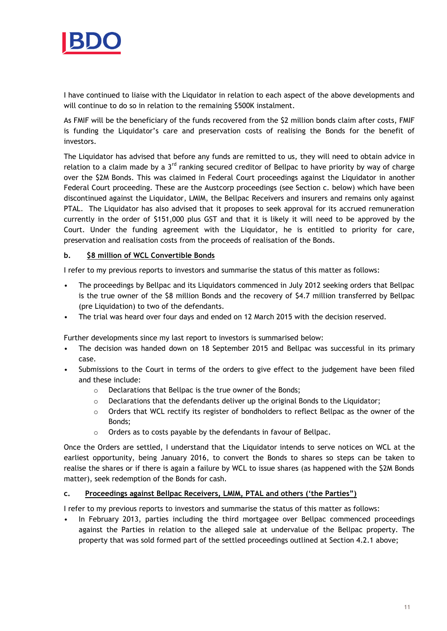

I have continued to liaise with the Liquidator in relation to each aspect of the above developments and will continue to do so in relation to the remaining \$500K instalment.

As FMIF will be the beneficiary of the funds recovered from the \$2 million bonds claim after costs, FMIF is funding the Liquidator's care and preservation costs of realising the Bonds for the benefit of investors.

The Liquidator has advised that before any funds are remitted to us, they will need to obtain advice in relation to a claim made by a  $3<sup>rd</sup>$  ranking secured creditor of Bellpac to have priority by way of charge over the \$2M Bonds. This was claimed in Federal Court proceedings against the Liquidator in another Federal Court proceeding. These are the Austcorp proceedings (see Section c. below) which have been discontinued against the Liquidator, LMIM, the Bellpac Receivers and insurers and remains only against PTAL. The Liquidator has also advised that it proposes to seek approval for its accrued remuneration currently in the order of \$151,000 plus GST and that it is likely it will need to be approved by the Court. Under the funding agreement with the Liquidator, he is entitled to priority for care, preservation and realisation costs from the proceeds of realisation of the Bonds.

#### **b. \$8 million of WCL Convertible Bonds**

I refer to my previous reports to investors and summarise the status of this matter as follows:

- The proceedings by Bellpac and its Liquidators commenced in July 2012 seeking orders that Bellpac is the true owner of the \$8 million Bonds and the recovery of \$4.7 million transferred by Bellpac (pre Liquidation) to two of the defendants.
- The trial was heard over four days and ended on 12 March 2015 with the decision reserved.

Further developments since my last report to investors is summarised below:

- The decision was handed down on 18 September 2015 and Bellpac was successful in its primary case.
- Submissions to the Court in terms of the orders to give effect to the judgement have been filed and these include:
	- o Declarations that Bellpac is the true owner of the Bonds;
	- $\circ$  Declarations that the defendants deliver up the original Bonds to the Liquidator;
	- $\circ$  Orders that WCL rectify its register of bondholders to reflect Bellpac as the owner of the Bonds;
	- o Orders as to costs payable by the defendants in favour of Bellpac.

Once the Orders are settled, I understand that the Liquidator intends to serve notices on WCL at the earliest opportunity, being January 2016, to convert the Bonds to shares so steps can be taken to realise the shares or if there is again a failure by WCL to issue shares (as happened with the \$2M Bonds matter), seek redemption of the Bonds for cash.

#### **c. Proceedings against Bellpac Receivers, LMIM, PTAL and others ('the Parties")**

I refer to my previous reports to investors and summarise the status of this matter as follows:

• In February 2013, parties including the third mortgagee over Bellpac commenced proceedings against the Parties in relation to the alleged sale at undervalue of the Bellpac property. The property that was sold formed part of the settled proceedings outlined at Section 4.2.1 above;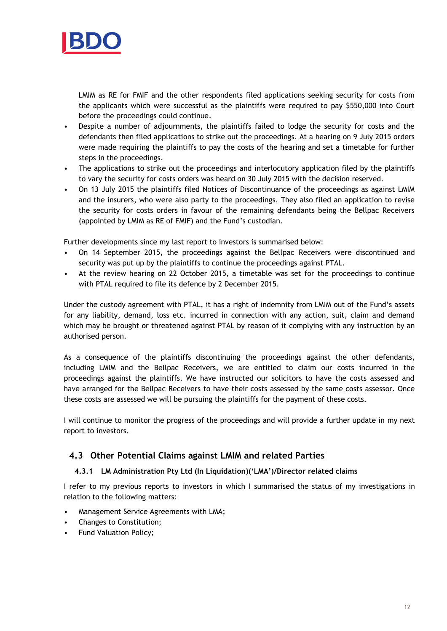

LMIM as RE for FMIF and the other respondents filed applications seeking security for costs from the applicants which were successful as the plaintiffs were required to pay \$550,000 into Court before the proceedings could continue.

- Despite a number of adjournments, the plaintiffs failed to lodge the security for costs and the defendants then filed applications to strike out the proceedings. At a hearing on 9 July 2015 orders were made requiring the plaintiffs to pay the costs of the hearing and set a timetable for further steps in the proceedings.
- The applications to strike out the proceedings and interlocutory application filed by the plaintiffs to vary the security for costs orders was heard on 30 July 2015 with the decision reserved.
- On 13 July 2015 the plaintiffs filed Notices of Discontinuance of the proceedings as against LMIM and the insurers, who were also party to the proceedings. They also filed an application to revise the security for costs orders in favour of the remaining defendants being the Bellpac Receivers (appointed by LMIM as RE of FMIF) and the Fund's custodian.

Further developments since my last report to investors is summarised below:

- On 14 September 2015, the proceedings against the Bellpac Receivers were discontinued and security was put up by the plaintiffs to continue the proceedings against PTAL.
- At the review hearing on 22 October 2015, a timetable was set for the proceedings to continue with PTAL required to file its defence by 2 December 2015.

Under the custody agreement with PTAL, it has a right of indemnity from LMIM out of the Fund's assets for any liability, demand, loss etc. incurred in connection with any action, suit, claim and demand which may be brought or threatened against PTAL by reason of it complying with any instruction by an authorised person.

As a consequence of the plaintiffs discontinuing the proceedings against the other defendants, including LMIM and the Bellpac Receivers, we are entitled to claim our costs incurred in the proceedings against the plaintiffs. We have instructed our solicitors to have the costs assessed and have arranged for the Bellpac Receivers to have their costs assessed by the same costs assessor. Once these costs are assessed we will be pursuing the plaintiffs for the payment of these costs.

I will continue to monitor the progress of the proceedings and will provide a further update in my next report to investors.

## **4.3 Other Potential Claims against LMIM and related Parties**

#### **4.3.1 LM Administration Pty Ltd (In Liquidation)('LMA')/Director related claims**

I refer to my previous reports to investors in which I summarised the status of my investigations in relation to the following matters:

- Management Service Agreements with LMA;
- Changes to Constitution;
- Fund Valuation Policy;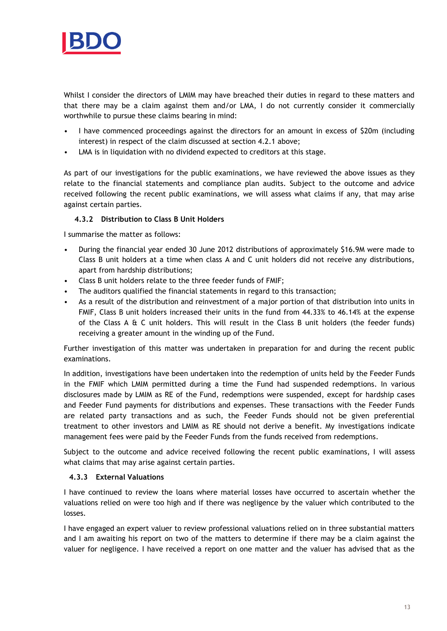

Whilst I consider the directors of LMIM may have breached their duties in regard to these matters and that there may be a claim against them and/or LMA, I do not currently consider it commercially worthwhile to pursue these claims bearing in mind:

- I have commenced proceedings against the directors for an amount in excess of \$20m (including interest) in respect of the claim discussed at section 4.2.1 above;
- LMA is in liquidation with no dividend expected to creditors at this stage.

As part of our investigations for the public examinations, we have reviewed the above issues as they relate to the financial statements and compliance plan audits. Subject to the outcome and advice received following the recent public examinations, we will assess what claims if any, that may arise against certain parties.

#### **4.3.2 Distribution to Class B Unit Holders**

I summarise the matter as follows:

- During the financial year ended 30 June 2012 distributions of approximately \$16.9M were made to Class B unit holders at a time when class A and C unit holders did not receive any distributions, apart from hardship distributions;
- Class B unit holders relate to the three feeder funds of FMIF;
- The auditors qualified the financial statements in regard to this transaction;
- As a result of the distribution and reinvestment of a major portion of that distribution into units in FMIF, Class B unit holders increased their units in the fund from 44.33% to 46.14% at the expense of the Class A & C unit holders. This will result in the Class B unit holders (the feeder funds) receiving a greater amount in the winding up of the Fund.

Further investigation of this matter was undertaken in preparation for and during the recent public examinations.

In addition, investigations have been undertaken into the redemption of units held by the Feeder Funds in the FMIF which LMIM permitted during a time the Fund had suspended redemptions. In various disclosures made by LMIM as RE of the Fund, redemptions were suspended, except for hardship cases and Feeder Fund payments for distributions and expenses. These transactions with the Feeder Funds are related party transactions and as such, the Feeder Funds should not be given preferential treatment to other investors and LMIM as RE should not derive a benefit. My investigations indicate management fees were paid by the Feeder Funds from the funds received from redemptions.

Subject to the outcome and advice received following the recent public examinations, I will assess what claims that may arise against certain parties.

#### **4.3.3 External Valuations**

I have continued to review the loans where material losses have occurred to ascertain whether the valuations relied on were too high and if there was negligence by the valuer which contributed to the losses.

I have engaged an expert valuer to review professional valuations relied on in three substantial matters and I am awaiting his report on two of the matters to determine if there may be a claim against the valuer for negligence. I have received a report on one matter and the valuer has advised that as the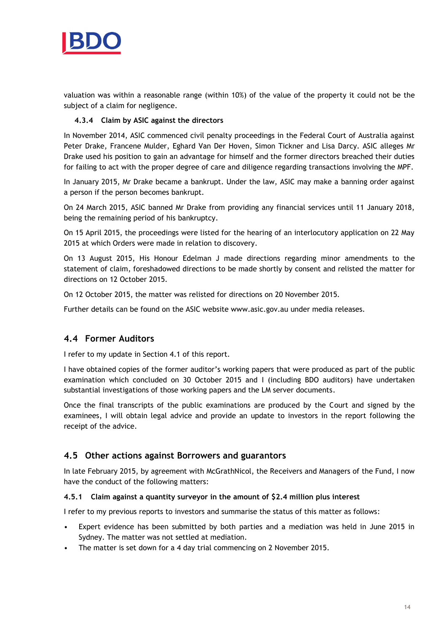

valuation was within a reasonable range (within 10%) of the value of the property it could not be the subject of a claim for negligence.

#### **4.3.4 Claim by ASIC against the directors**

In November 2014, ASIC commenced civil penalty proceedings in the Federal Court of Australia against Peter Drake, Francene Mulder, Eghard Van Der Hoven, Simon Tickner and Lisa Darcy. ASIC alleges Mr Drake used his position to gain an advantage for himself and the former directors breached their duties for failing to act with the proper degree of care and diligence regarding transactions involving the MPF.

In January 2015, Mr Drake became a bankrupt. Under the law, ASIC may make a banning order against a person if the person becomes bankrupt.

On 24 March 2015, ASIC banned Mr Drake from providing any financial services until 11 January 2018, being the remaining period of his bankruptcy.

On 15 April 2015, the proceedings were listed for the hearing of an interlocutory application on 22 May 2015 at which Orders were made in relation to discovery.

On 13 August 2015, His Honour Edelman J made directions regarding minor amendments to the statement of claim, foreshadowed directions to be made shortly by consent and relisted the matter for directions on 12 October 2015.

On 12 October 2015, the matter was relisted for directions on 20 November 2015.

Further details can be found on the ASIC website www.asic.gov.au under media releases.

## **4.4 Former Auditors**

I refer to my update in Section 4.1 of this report.

I have obtained copies of the former auditor's working papers that were produced as part of the public examination which concluded on 30 October 2015 and I (including BDO auditors) have undertaken substantial investigations of those working papers and the LM server documents.

Once the final transcripts of the public examinations are produced by the Court and signed by the examinees, I will obtain legal advice and provide an update to investors in the report following the receipt of the advice.

#### **4.5 Other actions against Borrowers and guarantors**

In late February 2015, by agreement with McGrathNicol, the Receivers and Managers of the Fund, I now have the conduct of the following matters:

#### **4.5.1 Claim against a quantity surveyor in the amount of \$2.4 million plus interest**

I refer to my previous reports to investors and summarise the status of this matter as follows:

- Expert evidence has been submitted by both parties and a mediation was held in June 2015 in Sydney. The matter was not settled at mediation.
- The matter is set down for a 4 day trial commencing on 2 November 2015.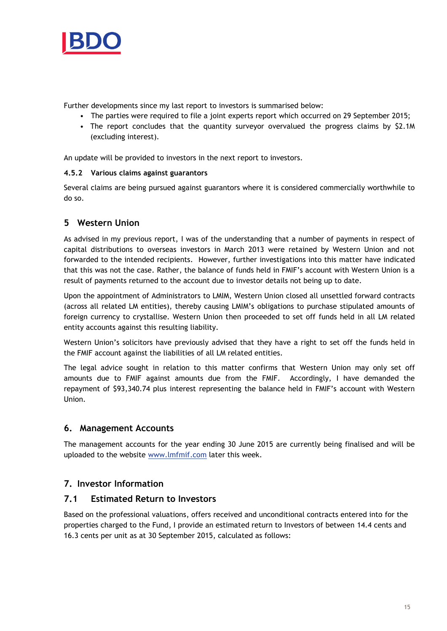

Further developments since my last report to investors is summarised below:

- The parties were required to file a joint experts report which occurred on 29 September 2015;
- The report concludes that the quantity surveyor overvalued the progress claims by \$2.1M (excluding interest).

An update will be provided to investors in the next report to investors.

#### **4.5.2 Various claims against guarantors**

Several claims are being pursued against guarantors where it is considered commercially worthwhile to do so.

## **5 Western Union**

As advised in my previous report, I was of the understanding that a number of payments in respect of capital distributions to overseas investors in March 2013 were retained by Western Union and not forwarded to the intended recipients. However, further investigations into this matter have indicated that this was not the case. Rather, the balance of funds held in FMIF's account with Western Union is a result of payments returned to the account due to investor details not being up to date.

Upon the appointment of Administrators to LMIM, Western Union closed all unsettled forward contracts (across all related LM entities), thereby causing LMIM's obligations to purchase stipulated amounts of foreign currency to crystallise. Western Union then proceeded to set off funds held in all LM related entity accounts against this resulting liability.

Western Union's solicitors have previously advised that they have a right to set off the funds held in the FMIF account against the liabilities of all LM related entities.

The legal advice sought in relation to this matter confirms that Western Union may only set off amounts due to FMIF against amounts due from the FMIF. Accordingly, I have demanded the repayment of \$93,340.74 plus interest representing the balance held in FMIF's account with Western Union.

#### **6. Management Accounts**

The management accounts for the year ending 30 June 2015 are currently being finalised and will be uploaded to the website [www.lmfmif.com](http://www.lmfmif.com/) later this week.

## **7. Investor Information**

#### **7.1 Estimated Return to Investors**

Based on the professional valuations, offers received and unconditional contracts entered into for the properties charged to the Fund, I provide an estimated return to Investors of between 14.4 cents and 16.3 cents per unit as at 30 September 2015, calculated as follows: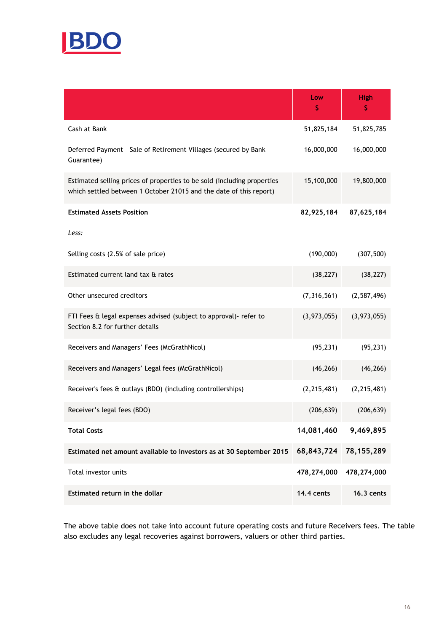

|                                                                                                                                               | Low<br>S      | <b>High</b><br>\$ |
|-----------------------------------------------------------------------------------------------------------------------------------------------|---------------|-------------------|
| Cash at Bank                                                                                                                                  | 51,825,184    | 51,825,785        |
| Deferred Payment - Sale of Retirement Villages (secured by Bank<br>Guarantee)                                                                 | 16,000,000    | 16,000,000        |
| Estimated selling prices of properties to be sold (including properties<br>which settled between 1 October 21015 and the date of this report) | 15,100,000    | 19,800,000        |
| <b>Estimated Assets Position</b>                                                                                                              | 82,925,184    | 87,625,184        |
| Less:                                                                                                                                         |               |                   |
| Selling costs (2.5% of sale price)                                                                                                            | (190,000)     | (307, 500)        |
| Estimated current land tax & rates                                                                                                            | (38, 227)     | (38, 227)         |
| Other unsecured creditors                                                                                                                     | (7,316,561)   | (2,587,496)       |
| FTI Fees & legal expenses advised (subject to approval) - refer to<br>Section 8.2 for further details                                         | (3,973,055)   | (3,973,055)       |
| Receivers and Managers' Fees (McGrathNicol)                                                                                                   | (95, 231)     | (95, 231)         |
| Receivers and Managers' Legal fees (McGrathNicol)                                                                                             | (46, 266)     | (46, 266)         |
| Receiver's fees & outlays (BDO) (including controllerships)                                                                                   | (2, 215, 481) | (2, 215, 481)     |
| Receiver's legal fees (BDO)                                                                                                                   | (206, 639)    | (206, 639)        |
| <b>Total Costs</b>                                                                                                                            | 14,081,460    | 9,469,895         |
| Estimated net amount available to investors as at 30 September 2015                                                                           | 68,843,724    | 78, 155, 289      |
| Total investor units                                                                                                                          | 478,274,000   | 478,274,000       |
| Estimated return in the dollar                                                                                                                | 14.4 cents    | <b>16.3 cents</b> |

The above table does not take into account future operating costs and future Receivers fees. The table also excludes any legal recoveries against borrowers, valuers or other third parties.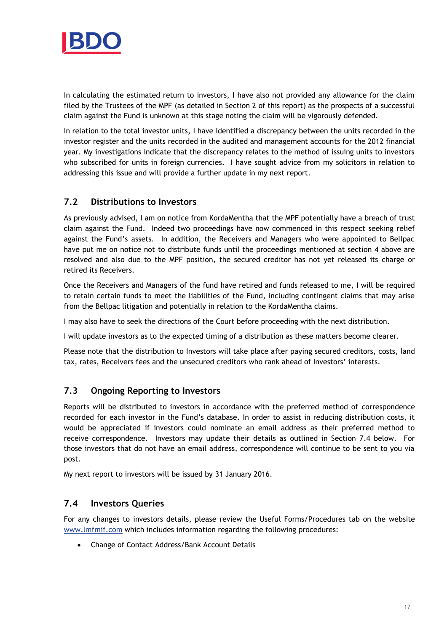

In calculating the estimated return to investors, I have also not provided any allowance for the claim filed by the Trustees of the MPF (as detailed in Section 2 of this report) as the prospects of a successful claim against the Fund is unknown at this stage noting the claim will be vigorously defended.

In relation to the total investor units, I have identified a discrepancy between the units recorded in the investor register and the units recorded in the audited and management accounts for the 2012 financial year. My investigations indicate that the discrepancy relates to the method of issuing units to investors who subscribed for units in foreign currencies. I have sought advice from my solicitors in relation to addressing this issue and will provide a further update in my next report.

## **7.2 Distributions to Investors**

As previously advised, I am on notice from KordaMentha that the MPF potentially have a breach of trust claim against the Fund. Indeed two proceedings have now commenced in this respect seeking relief against the Fund's assets. In addition, the Receivers and Managers who were appointed to Bellpac have put me on notice not to distribute funds until the proceedings mentioned at section 4 above are resolved and also due to the MPF position, the secured creditor has not yet released its charge or retired its Receivers.

Once the Receivers and Managers of the fund have retired and funds released to me, I will be required to retain certain funds to meet the liabilities of the Fund, including contingent claims that may arise from the Bellpac litigation and potentially in relation to the KordaMentha claims.

I may also have to seek the directions of the Court before proceeding with the next distribution.

I will update investors as to the expected timing of a distribution as these matters become clearer.

Please note that the distribution to Investors will take place after paying secured creditors, costs, land tax, rates, Receivers fees and the unsecured creditors who rank ahead of Investors' interests.

# **7.3 Ongoing Reporting to Investors**

Reports will be distributed to investors in accordance with the preferred method of correspondence recorded for each investor in the Fund's database. In order to assist in reducing distribution costs, it would be appreciated if investors could nominate an email address as their preferred method to receive correspondence. Investors may update their details as outlined in Section 7.4 below. For those investors that do not have an email address, correspondence will continue to be sent to you via post.

My next report to investors will be issued by 31 January 2016.

## **7.4 Investors Queries**

For any changes to investors details, please review the Useful Forms/Procedures tab on the website [www.lmfmif.com](http://www.lmfmif.com/) which includes information regarding the following procedures:

Change of Contact Address/Bank Account Details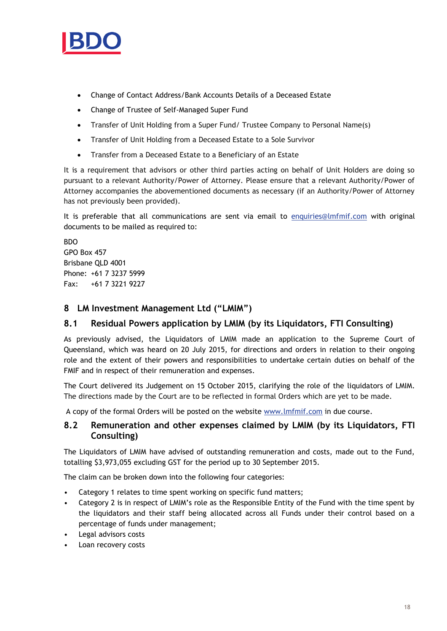

- Change of Contact Address/Bank Accounts Details of a Deceased Estate
- Change of Trustee of Self-Managed Super Fund
- Transfer of Unit Holding from a Super Fund/ Trustee Company to Personal Name(s)
- Transfer of Unit Holding from a Deceased Estate to a Sole Survivor
- Transfer from a Deceased Estate to a Beneficiary of an Estate

It is a requirement that advisors or other third parties acting on behalf of Unit Holders are doing so pursuant to a relevant Authority/Power of Attorney. Please ensure that a relevant Authority/Power of Attorney accompanies the abovementioned documents as necessary (if an Authority/Power of Attorney has not previously been provided).

It is preferable that all communications are sent via email to [enquiries@lmfmif.com](mailto:enquiries@lmfmif.com) with original documents to be mailed as required to:

BDO GPO Box 457 Brisbane QLD 4001 Phone: +61 7 3237 5999 Fax: +61 7 3221 9227

## **8 LM Investment Management Ltd ("LMIM")**

#### **8.1 Residual Powers application by LMIM (by its Liquidators, FTI Consulting)**

As previously advised, the Liquidators of LMIM made an application to the Supreme Court of Queensland, which was heard on 20 July 2015, for directions and orders in relation to their ongoing role and the extent of their powers and responsibilities to undertake certain duties on behalf of the FMIF and in respect of their remuneration and expenses.

The Court delivered its Judgement on 15 October 2015, clarifying the role of the liquidators of LMIM. The directions made by the Court are to be reflected in formal Orders which are yet to be made.

A copy of the formal Orders will be posted on the website [www.lmfmif.com](http://www.lmfmif.com/) in due course.

## **8.2 Remuneration and other expenses claimed by LMIM (by its Liquidators, FTI Consulting)**

The Liquidators of LMIM have advised of outstanding remuneration and costs, made out to the Fund, totalling \$3,973,055 excluding GST for the period up to 30 September 2015.

The claim can be broken down into the following four categories:

- Category 1 relates to time spent working on specific fund matters;
- Category 2 is in respect of LMIM's role as the Responsible Entity of the Fund with the time spent by the liquidators and their staff being allocated across all Funds under their control based on a percentage of funds under management;
- Legal advisors costs
- Loan recovery costs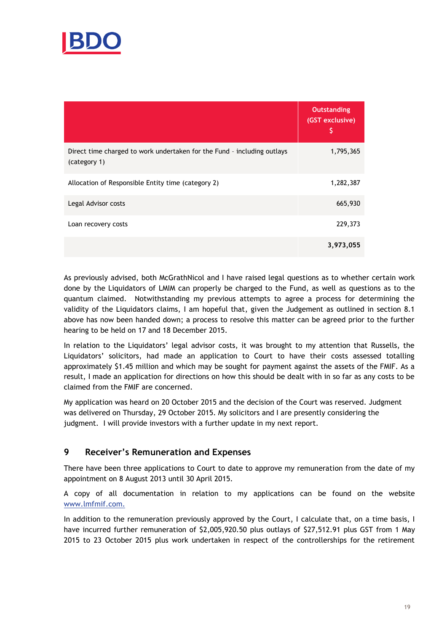

|                                                                                         | <b>Outstanding</b><br>(GST exclusive)<br>\$ |
|-----------------------------------------------------------------------------------------|---------------------------------------------|
| Direct time charged to work undertaken for the Fund - including outlays<br>(category 1) | 1,795,365                                   |
| Allocation of Responsible Entity time (category 2)                                      | 1,282,387                                   |
| Legal Advisor costs                                                                     | 665,930                                     |
| Loan recovery costs                                                                     | 229,373                                     |
|                                                                                         | 3,973,055                                   |

As previously advised, both McGrathNicol and I have raised legal questions as to whether certain work done by the Liquidators of LMIM can properly be charged to the Fund, as well as questions as to the quantum claimed. Notwithstanding my previous attempts to agree a process for determining the validity of the Liquidators claims, I am hopeful that, given the Judgement as outlined in section 8.1 above has now been handed down; a process to resolve this matter can be agreed prior to the further hearing to be held on 17 and 18 December 2015.

In relation to the Liquidators' legal advisor costs, it was brought to my attention that Russells, the Liquidators' solicitors, had made an application to Court to have their costs assessed totalling approximately \$1.45 million and which may be sought for payment against the assets of the FMIF. As a result, I made an application for directions on how this should be dealt with in so far as any costs to be claimed from the FMIF are concerned.

My application was heard on 20 October 2015 and the decision of the Court was reserved. Judgment was delivered on Thursday, 29 October 2015. My solicitors and I are presently considering the judgment. I will provide investors with a further update in my next report.

# **9 Receiver's Remuneration and Expenses**

There have been three applications to Court to date to approve my remuneration from the date of my appointment on 8 August 2013 until 30 April 2015.

A copy of all documentation in relation to my applications can be found on the website [www.lmfmif.com.](http://www.lmfmif.com/)

In addition to the remuneration previously approved by the Court, I calculate that, on a time basis, I have incurred further remuneration of \$2,005,920.50 plus outlays of \$27,512.91 plus GST from 1 May 2015 to 23 October 2015 plus work undertaken in respect of the controllerships for the retirement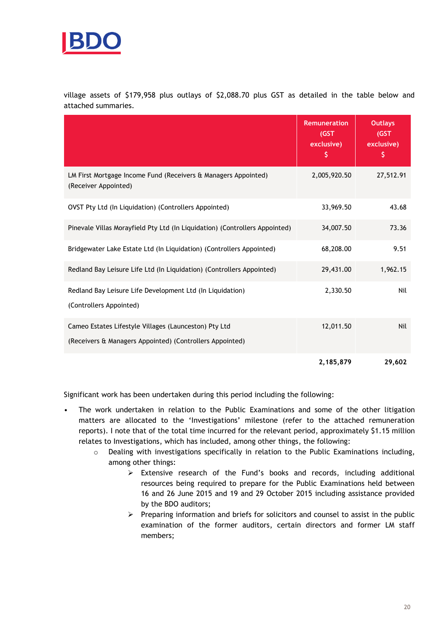

village assets of \$179,958 plus outlays of \$2,088.70 plus GST as detailed in the table below and attached summaries.

|                                                                                                                   | <b>Remuneration</b><br>(GST)<br>exclusive)<br>\$. | <b>Outlays</b><br>(GST)<br>exclusive)<br>\$. |
|-------------------------------------------------------------------------------------------------------------------|---------------------------------------------------|----------------------------------------------|
| LM First Mortgage Income Fund (Receivers & Managers Appointed)<br>(Receiver Appointed)                            | 2,005,920.50                                      | 27,512.91                                    |
| OVST Pty Ltd (In Liquidation) (Controllers Appointed)                                                             | 33,969.50                                         | 43.68                                        |
| Pinevale Villas Morayfield Pty Ltd (In Liquidation) (Controllers Appointed)                                       | 34,007.50                                         | 73.36                                        |
| Bridgewater Lake Estate Ltd (In Liquidation) (Controllers Appointed)                                              | 68,208.00                                         | 9.51                                         |
| Redland Bay Leisure Life Ltd (In Liquidation) (Controllers Appointed)                                             | 29,431.00                                         | 1,962.15                                     |
| Redland Bay Leisure Life Development Ltd (In Liquidation)<br>(Controllers Appointed)                              | 2,330.50                                          | Nil                                          |
| Cameo Estates Lifestyle Villages (Launceston) Pty Ltd<br>(Receivers & Managers Appointed) (Controllers Appointed) | 12,011.50                                         | Nil                                          |
|                                                                                                                   | 2,185,879                                         | 29,602                                       |

Significant work has been undertaken during this period including the following:

- The work undertaken in relation to the Public Examinations and some of the other litigation matters are allocated to the 'Investigations' milestone (refer to the attached remuneration reports). I note that of the total time incurred for the relevant period, approximately \$1.15 million relates to Investigations, which has included, among other things, the following:
	- $\circ$  Dealing with investigations specifically in relation to the Public Examinations including, among other things:
		- $\triangleright$  Extensive research of the Fund's books and records, including additional resources being required to prepare for the Public Examinations held between 16 and 26 June 2015 and 19 and 29 October 2015 including assistance provided by the BDO auditors;
		- $\triangleright$  Preparing information and briefs for solicitors and counsel to assist in the public examination of the former auditors, certain directors and former LM staff members;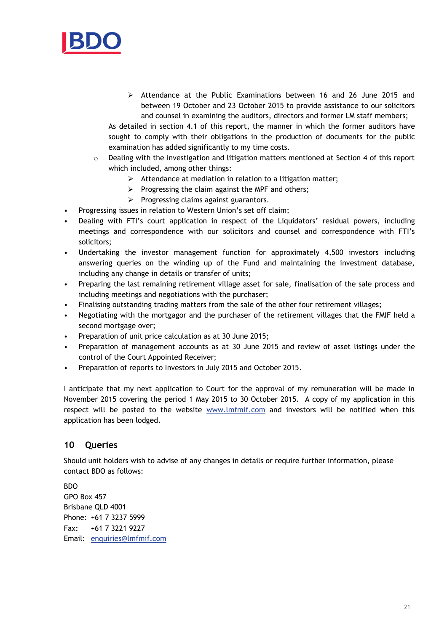

 Attendance at the Public Examinations between 16 and 26 June 2015 and between 19 October and 23 October 2015 to provide assistance to our solicitors and counsel in examining the auditors, directors and former LM staff members;

As detailed in section 4.1 of this report, the manner in which the former auditors have sought to comply with their obligations in the production of documents for the public examination has added significantly to my time costs.

- o Dealing with the investigation and litigation matters mentioned at Section 4 of this report which included, among other things:
	- $\triangleright$  Attendance at mediation in relation to a litigation matter;
	- $\triangleright$  Progressing the claim against the MPF and others;
	- $\triangleright$  Progressing claims against guarantors.
- Progressing issues in relation to Western Union's set off claim;
- Dealing with FTI's court application in respect of the Liquidators' residual powers, including meetings and correspondence with our solicitors and counsel and correspondence with FTI's solicitors;
- Undertaking the investor management function for approximately 4,500 investors including answering queries on the winding up of the Fund and maintaining the investment database, including any change in details or transfer of units;
- Preparing the last remaining retirement village asset for sale, finalisation of the sale process and including meetings and negotiations with the purchaser;
- Finalising outstanding trading matters from the sale of the other four retirement villages;
- Negotiating with the mortgagor and the purchaser of the retirement villages that the FMIF held a second mortgage over;
- Preparation of unit price calculation as at 30 June 2015;
- Preparation of management accounts as at 30 June 2015 and review of asset listings under the control of the Court Appointed Receiver;
- Preparation of reports to Investors in July 2015 and October 2015.

I anticipate that my next application to Court for the approval of my remuneration will be made in November 2015 covering the period 1 May 2015 to 30 October 2015. A copy of my application in this respect will be posted to the website [www.lmfmif.com](http://www.lmfmif.com/) and investors will be notified when this application has been lodged.

#### **10 Queries**

Should unit holders wish to advise of any changes in details or require further information, please contact BDO as follows:

BDO GPO Box 457 Brisbane QLD 4001 Phone: +61 7 3237 5999 Fax: +61 7 3221 9227 Email: [enquiries@lmfmif.com](mailto:enquiries@lmfmif.com)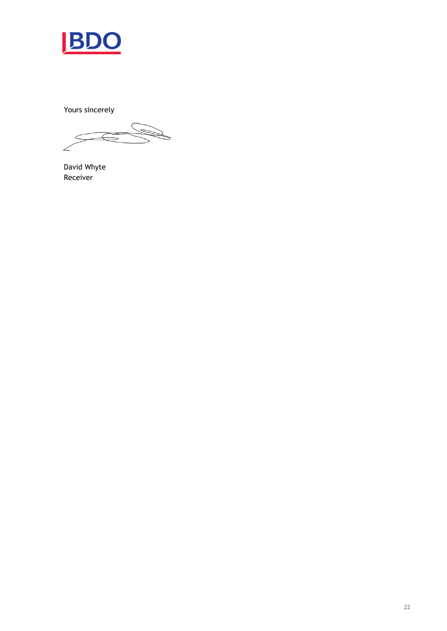

Yours sincerely

 $\leq$ 

David Whyte Receiver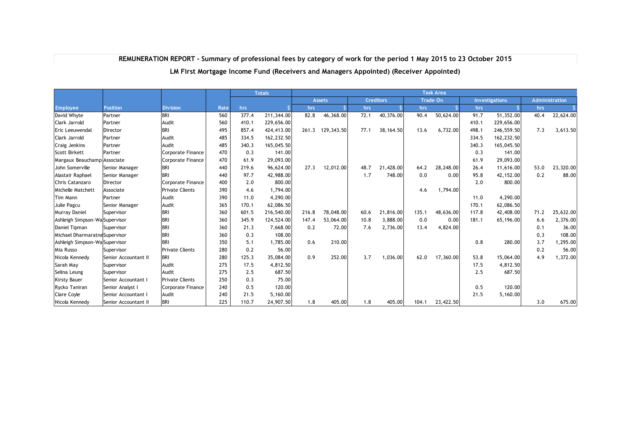#### **REMUNERATION REPORT - Summary of professional fees by category of work for the period 1 May 2015 to 23 October 2015**

#### **LM First Mortgage Income Fund (Receivers and Managers Appointed) (Receiver Appointed)**

|                                |                      |                        |      |       | <b>Totals</b> | <b>Task Area</b> |               |      |                  |       |                 |       |                       |      |                |
|--------------------------------|----------------------|------------------------|------|-------|---------------|------------------|---------------|------|------------------|-------|-----------------|-------|-----------------------|------|----------------|
|                                |                      |                        |      |       |               |                  | <b>Assets</b> |      | <b>Creditors</b> |       | <b>Trade On</b> |       | <b>Investigations</b> |      | Administration |
| <b>Employee</b>                | <b>Position</b>      | <b>Division</b>        | Rate | hrs   |               | hrs              |               | hrs  |                  | hrs   |                 | hrs   |                       | hrs  |                |
| David Whyte                    | Partner              | <b>BRI</b>             | 560  | 377.4 | 211,344.00    | 82.8             | 46,368.00     | 72.1 | 40,376.00        | 90.4  | 50,624.00       | 91.7  | 51,352.00             | 40.4 | 22,624.00      |
| Clark Jarrold                  | Partner              | Audit                  | 560  | 410.1 | 229,656.00    |                  |               |      |                  |       |                 | 410.1 | 229,656.00            |      |                |
| Eric Leeuwendal                | <b>Director</b>      | <b>BRI</b>             | 495  | 857.4 | 424,413.00    | 261.3            | 129,343.50    | 77.1 | 38,164.50        | 13.6  | 6.732.00        | 498.1 | 246,559.50            | 7.3  | 3,613.50       |
| Clark Jarrold                  | Partner              | Audit                  | 485  | 334.5 | 162,232.50    |                  |               |      |                  |       |                 | 334.5 | 162,232.50            |      |                |
| Craig Jenkins                  | Partner              | Audit                  | 485  | 340.3 | 165,045.50    |                  |               |      |                  |       |                 | 340.3 | 165,045.50            |      |                |
| <b>Scott Birkett</b>           | Partner              | Corporate Finance      | 470  | 0.3   | 141.00        |                  |               |      |                  |       |                 | 0.3   | 141.00                |      |                |
| Margaux Beauchamp Associate    |                      | Corporate Finance      | 470  | 61.9  | 29,093.00     |                  |               |      |                  |       |                 | 61.9  | 29,093.00             |      |                |
| John Somerville                | Senior Manager       | <b>BRI</b>             | 440  | 219.6 | 96,624.00     | 27.3             | 12,012.00     | 48.7 | 21,428.00        | 64.2  | 28,248.00       | 26.4  | 11,616.00             | 53.0 | 23,320.00      |
| Alastair Raphael               | Senior Manager       | <b>BRI</b>             | 440  | 97.7  | 42,988.00     |                  |               | 1,7  | 748.00           | 0.0   | 0.00            | 95.8  | 42,152.00             | 0.2  | 88.00          |
| Chris Catanzaro                | <b>Director</b>      | Corporate Finance      | 400  | 2.0   | 800.00        |                  |               |      |                  |       |                 | 2.0   | 800.00                |      |                |
| Michelle Matchett              | Associate            | <b>Private Clients</b> | 390  | 4.6   | 1,794.00      |                  |               |      |                  | 4.6   | 1,794.00        |       |                       |      |                |
| Tim Mann                       | Partner              | Audit                  | 390  | 11.0  | 4,290.00      |                  |               |      |                  |       |                 | 11.0  | 4,290.00              |      |                |
| Julie Pagcu                    | Senior Manager       | Audit                  | 365  | 170.1 | 62,086.50     |                  |               |      |                  |       |                 | 170.1 | 62,086.50             |      |                |
| Murray Daniel                  | Supervisor           | <b>BRI</b>             | 360  | 601.5 | 216,540.00    | 216.8            | 78,048.00     | 60.6 | 21,816.00        | 135.1 | 48,636.00       | 117.8 | 42,408.00             | 71.2 | 25,632.00      |
| Ashleigh Simpson-Wa Supervisor |                      | <b>BRI</b>             | 360  | 345.9 | 124,524.00    | 147.4            | 53,064.00     | 10.8 | 3,888.00         | 0.0   | 0.00            | 181.1 | 65,196.00             | 6.6  | 2,376.00       |
| Daniel Tipman                  | Supervisor           | <b>BRI</b>             | 360  | 21.3  | 7,668.00      | 0.2              | 72.00         | 7.6  | 2,736.00         | 13.4  | 4,824.00        |       |                       | 0.1  | 36.00          |
| Michael Dharmaratne Supervisor |                      | <b>BRI</b>             | 360  | 0.3   | 108.00        |                  |               |      |                  |       |                 |       |                       | 0.3  | 108.00         |
| Ashleigh Simpson-Wa Supervisor |                      | <b>BRI</b>             | 350  | 5.1   | 1,785.00      | 0.6              | 210.00        |      |                  |       |                 | 0.8   | 280.00                | 3.7  | 1,295.00       |
| Mia Russo                      | Supervisor           | <b>Private Clients</b> | 280  | 0.2   | 56.00         |                  |               |      |                  |       |                 |       |                       | 0.2  | 56.00          |
| Nicola Kennedy                 | Senior Accountant II | <b>BRI</b>             | 280  | 125.3 | 35,084.00     | 0.9              | 252.00        | 3.7  | 1,036.00         | 62.0  | 17,360.00       | 53.8  | 15,064.00             | 4.9  | 1,372.00       |
| Sarah May                      | Supervisor           | Audit                  | 275  | 17.5  | 4,812.50      |                  |               |      |                  |       |                 | 17.5  | 4,812.50              |      |                |
| Selina Leung                   | Supervisor           | Audit                  | 275  | 2.5   | 687.50        |                  |               |      |                  |       |                 | 2.5   | 687.50                |      |                |
| <b>Kirsty Bauer</b>            | Senior Accountant I  | <b>Private Clients</b> | 250  | 0.3   | 75.00         |                  |               |      |                  |       |                 |       |                       |      |                |
| Rycko Taniran                  | Senior Analyst I     | Corporate Finance      | 240  | 0.5   | 120.00        |                  |               |      |                  |       |                 | 0.5   | 120.00                |      |                |
| <b>Clare Coyle</b>             | Senior Accountant I  | Audit                  | 240  | 21.5  | 5,160.00      |                  |               |      |                  |       |                 | 21.5  | 5,160.00              |      |                |
| Nicola Kennedy                 | Senior Accountant II | <b>BRI</b>             | 225  | 110.7 | 24,907.50     | 1.8              | 405.00        | 1.8  | 405.00           | 104.1 | 23,422.50       |       |                       | 3.0  | 675.00         |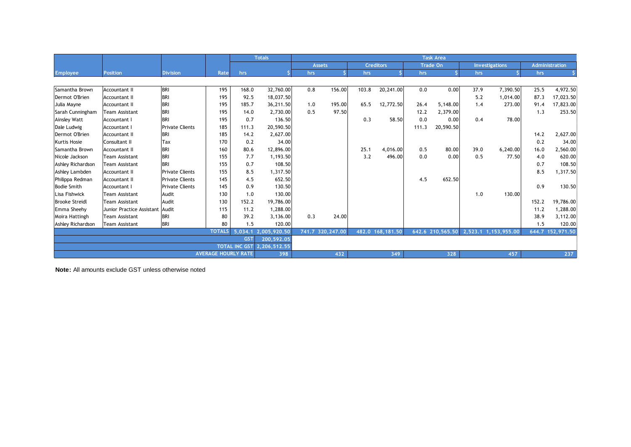|                       |                           |                        |                            |            | <b>Totals</b>                       | <b>Task Area</b> |                  |       |                   |                 |                  |         |                       |       |                       |
|-----------------------|---------------------------|------------------------|----------------------------|------------|-------------------------------------|------------------|------------------|-------|-------------------|-----------------|------------------|---------|-----------------------|-------|-----------------------|
|                       |                           |                        |                            |            |                                     |                  | <b>Assets</b>    |       | <b>Creditors</b>  | <b>Trade On</b> |                  |         | <b>Investigations</b> |       | <b>Administration</b> |
| <b>Employee</b>       | <b>Position</b>           | <b>Division</b>        | Rate                       | hrs        |                                     | hrs              |                  | hrs   |                   | hrs             |                  | hrs     |                       | hrs   |                       |
|                       |                           |                        |                            |            |                                     |                  |                  |       |                   |                 |                  |         |                       |       |                       |
| Samantha Brown        | <b>Accountant II</b>      | <b>BRI</b>             | 195                        | 168.0      | 32,760.00                           | 0.8              | 156.00           | 103.8 | 20,241.00         | 0.0             | 0.00             | 37.9    | 7,390.50              | 25.5  | 4,972.50              |
| Dermot O'Brien        | <b>Accountant II</b>      | <b>BRI</b>             | 195                        | 92.5       | 18,037.50                           |                  |                  |       |                   |                 |                  | 5.2     | 1,014.00              | 87.3  | 17,023.50             |
| Julia Mayne           | <b>Accountant II</b>      | <b>BRI</b>             | 195                        | 185.7      | 36,211.50                           | 1.0              | 195.00           | 65.5  | 12,772.50         | 26.4            | 5,148.00         | 1.4     | 273.00                | 91.4  | 17,823.00             |
| Sarah Cunningham      | Team Assistant            | <b>BRI</b>             | 195                        | 14.0       | 2,730.00                            | 0.5              | 97.50            |       |                   | 12.2            | 2,379.00         |         |                       | 1.3   | 253.50                |
| Ainsley Watt          | <b>Accountant I</b>       | <b>BRI</b>             | 195                        | 0.7        | 136.50                              |                  |                  | 0.3   | 58.50             | 0.0             | 0.00             | 0.4     | 78.00                 |       |                       |
| Dale Ludwig           | Accountant I              | <b>Private Clients</b> | 185                        | 111.3      | 20,590.50                           |                  |                  |       |                   | 111.3           | 20,590.50        |         |                       |       |                       |
| Dermot O'Brien        | <b>Accountant II</b>      | <b>BRI</b>             | 185                        | 14.2       | 2,627.00                            |                  |                  |       |                   |                 |                  |         |                       | 14.2  | 2,627.00              |
| <b>Kurtis Hosie</b>   | Consultant II             | Tax                    | 170                        | 0.2        | 34.00                               |                  |                  |       |                   |                 |                  |         |                       | 0.2   | 34.00                 |
| Samantha Brown        | <b>Accountant II</b>      | <b>BRI</b>             | 160                        | 80.6       | 12,896.00                           |                  |                  | 25.1  | 4,016.00          | 0.5             | 80.00            | 39.0    | 6,240.00              | 16.0  | 2,560.00              |
| Nicole Jackson        | <b>Team Assistant</b>     | <b>BRI</b>             | 155                        | 7.7        | 1,193.50                            |                  |                  | 3.2   | 496.00            | 0.0             | 0.00             | 0.5     | 77.50                 | 4.0   | 620.00                |
| Ashley Richardson     | Team Assistant            | <b>BRI</b>             | 155                        | 0.7        | 108.50                              |                  |                  |       |                   |                 |                  |         |                       | 0.7   | 108.50                |
| Ashley Lambden        | <b>Accountant II</b>      | <b>Private Clients</b> | 155                        | 8.5        | 1,317.50                            |                  |                  |       |                   |                 |                  |         |                       | 8.5   | 1,317.50              |
| Philippa Redman       | <b>Accountant II</b>      | <b>Private Clients</b> | 145                        | 4.5        | 652.50                              |                  |                  |       |                   | 4.5             | 652.50           |         |                       |       |                       |
| <b>Bodie Smith</b>    | Accountant I              | <b>Private Clients</b> | 145                        | 0.9        | 130.50                              |                  |                  |       |                   |                 |                  |         |                       | 0.9   | 130.50                |
| Lisa Fishwick         | Team Assistant            | Audit                  | 130                        | 1.0        | 130.00                              |                  |                  |       |                   |                 |                  | 1.0     | 130.00                |       |                       |
| <b>Brooke Streidl</b> | Team Assistant            | Audit                  | 130                        | 152.2      | 19,786.00                           |                  |                  |       |                   |                 |                  |         |                       | 152.2 | 19,786.00             |
| Emma Sheehy           | Junior Practice Assistant | Audit                  | 115                        | 11.2       | 1,288.00                            |                  |                  |       |                   |                 |                  |         |                       | 11.2  | 1,288.00              |
| Moira Hattingh        | <b>Team Assistant</b>     | <b>BRI</b>             | 80                         | 39.2       | 3,136.00                            | 0.3              | 24.00            |       |                   |                 |                  |         |                       | 38.9  | 3,112.00              |
| Ashley Richardson     | <b>Team Assistant</b>     | <b>BRI</b>             | 80                         | 1.5        | 120.00                              |                  |                  |       |                   |                 |                  |         |                       | 1.5   | 120.00                |
| <b>TOTALS</b>         |                           |                        |                            |            | 5,034.1 2,005,920.50                |                  | 741.7 320,247.00 |       | 482.0 168, 181.50 |                 | 642.6 210,565.50 | 2,523.1 | 1,153,955.00          |       | 644.7 152,971.50      |
|                       |                           |                        |                            | <b>GST</b> | 200,592.05                          |                  |                  |       |                   |                 |                  |         |                       |       |                       |
|                       |                           |                        |                            |            | <b>TOTAL INC GST 2, 206, 512.55</b> |                  |                  |       |                   |                 |                  |         |                       |       |                       |
|                       |                           |                        | <b>AVERAGE HOURLY RATE</b> |            | 398                                 |                  | 432              |       | 349               |                 | 328              |         | 457                   |       | 237                   |

**Note:** All amounts exclude GST unless otherwise noted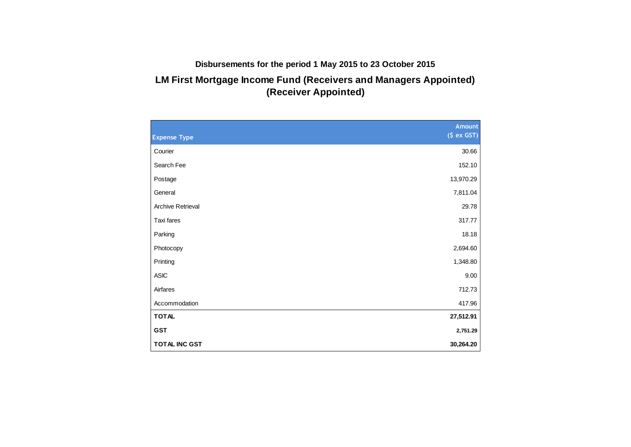# **Disbursements for the period 1 May 2015 to 23 October 2015**

# **LM First Mortgage Income Fund (Receivers and Managers Appointed) (Receiver Appointed)**

|                          | Amount     |
|--------------------------|------------|
| <b>Expense Type</b>      | (5 ex GST) |
| Courier                  | 30.66      |
| Search Fee               | 152.10     |
| Postage                  | 13,970.29  |
| General                  | 7,811.04   |
| <b>Archive Retrieval</b> | 29.78      |
| Taxi fares               | 317.77     |
| Parking                  | 18.18      |
| Photocopy                | 2,694.60   |
| Printing                 | 1,348.80   |
| <b>ASIC</b>              | 9.00       |
| Airfares                 | 712.73     |
| Accommodation            | 417.96     |
| <b>TOTAL</b>             | 27,512.91  |
| <b>GST</b>               | 2,751.29   |
| TOTAL INC GST            | 30,264.20  |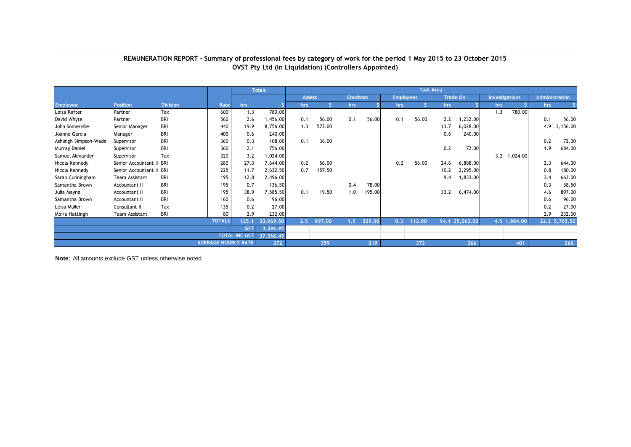|                       |                       |                 |                            |                      | <b>Totals</b> | <b>Task Area</b> |        |                  |        |                  |        |                 |                |                       |              |                |               |
|-----------------------|-----------------------|-----------------|----------------------------|----------------------|---------------|------------------|--------|------------------|--------|------------------|--------|-----------------|----------------|-----------------------|--------------|----------------|---------------|
|                       |                       |                 |                            |                      |               | <b>Assets</b>    |        | <b>Creditors</b> |        | <b>Employees</b> |        | <b>Trade On</b> |                | <b>Investigations</b> |              | Administration |               |
| <b>Employee</b>       | <b>Position</b>       | <b>Division</b> | Rate                       | hrs.                 |               | hrs              |        | hrs              |        | hrs              |        | hrs             |                | hrs                   |              | hrs            |               |
| Leisa Rafter          | Partner               | Tax             | 600                        | 1.3                  | 780.00        |                  |        |                  |        |                  |        |                 |                | 1.3                   | 780.00       |                |               |
| David Whyte           | Partner               | <b>BRI</b>      | 560                        | 2.6                  | ,456.00       | 0.1              | 56.00  | 0.1              | 56.00  | 0.1              | 56.00  | 2.2             | 1,232.00       |                       |              | 0.1            | 56.00         |
| John Somerville       | Senior Manager        | <b>BRI</b>      | 440                        | 19.9                 | 8,756.00      | 1.3              | 572.00 |                  |        |                  |        | 13.7            | 6,028.00       |                       |              | 4.9            | 2,156.00      |
| Joanne Garcia         | Manager               | <b>BRI</b>      | 400                        | 0.6                  | 240.00        |                  |        |                  |        |                  |        | 0.6             | 240.00         |                       |              |                |               |
| Ashleigh Simpson-Wade | Supervisor            | <b>BRI</b>      | 360                        | 0.3                  | 108.00        | 0.1              | 36.00  |                  |        |                  |        |                 |                |                       |              | 0.2            | 72.00         |
| Murray Daniel         | Supervisor            | <b>BRI</b>      | 360                        | 2.1                  | 756.00        |                  |        |                  |        |                  |        | 0.2             | 72.00          |                       |              | 1.9            | 684.00        |
| Samuel Alexander      | Supervisor            | Tax             | 320                        | 3.2                  | ,024.00       |                  |        |                  |        |                  |        |                 |                | 3.2                   | 1,024.00     |                |               |
| Nicola Kennedy        | Senior Accountant II  | <b>BRI</b>      | 280                        | 27.3                 | 7,644.00      | 0.2              | 56.00  |                  |        | 0.2              | 56.00  | 24.6            | 6,888.00       |                       |              | 2.3            | 644.00        |
| Nicola Kennedy        | Senior Accountant II  | <b>BRI</b>      | 225                        | 11.7                 | 2,632.50      | 0.7              | 157.50 |                  |        |                  |        | 10.2            | 2,295.00       |                       |              | 0.8            | 180.00        |
| Sarah Cunningham      | Team Assistant        | <b>BRI</b>      | 195                        | 12.8                 | 2,496.00      |                  |        |                  |        |                  |        | 9.4             | 1,833.00       |                       |              | 3.4            | 663.00        |
| Samantha Brown        | Accountant II         | <b>BRI</b>      | 195                        | 0.7                  | 136.50        |                  |        | 0.4              | 78.00  |                  |        |                 |                |                       |              | 0.3            | 58.50         |
| Julia Mayne           | Accountant II         | <b>BRI</b>      | 195                        | 38.9                 | 7,585.50      | 0.1              | 19.50  | 1.0              | 195.00 |                  |        | 33.2            | 6,474.00       |                       |              | 4.6            | 897.00        |
| Samantha Brown        | <b>Accountant II</b>  | <b>BRI</b>      | 160                        | 0.6                  | 96.00         |                  |        |                  |        |                  |        |                 |                |                       |              | 0.6            | 96.00         |
| Leisa Muller          | Consultant II         | Tax             | 135                        | 0.2                  | 27.00         |                  |        |                  |        |                  |        |                 |                |                       |              | 0.2            | 27.00         |
| Moira Hattingh        | <b>Team Assistant</b> | <b>BRI</b>      | 80                         | 2.9                  | 232.00        |                  |        |                  |        |                  |        |                 |                |                       |              | 2.9            | 232.00        |
|                       |                       |                 | <b>TOTALS</b>              | 125.1                | 33,969.50     | 2.5              | 897.00 | 1.5              | 329.00 | 0.3              | 112.00 |                 | 94.1 25,062.00 |                       | 4.5 1,804.00 |                | 22.2 5,765.50 |
|                       |                       |                 |                            | <b>GST</b>           | 3,396.95      |                  |        |                  |        |                  |        |                 |                |                       |              |                |               |
|                       |                       |                 |                            | <b>TOTAL INC GST</b> | 37,366.45     |                  |        |                  |        |                  |        |                 |                |                       |              |                |               |
|                       |                       |                 | <b>AVERAGE HOURLY RATE</b> |                      | 272           |                  | 359    |                  | 219    |                  | 373    |                 | 266            |                       | 401          |                | 260           |

#### **OVST Pty Ltd (In Liquidation) (Controllers Appointed) REMUNERATION REPORT - Summary of professional fees by category of work for the period 1 May 2015 to 23 October 2015**

**Note:** All amounts exclude GST unless otherwise noted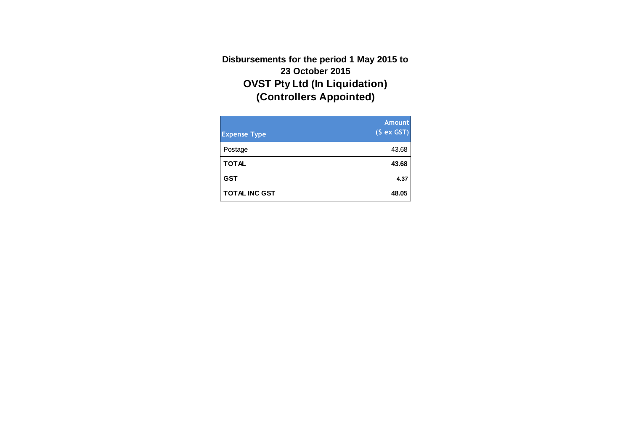# **OVST Pty Ltd (In Liquidation) (Controllers Appointed) Disbursements for the period 1 May 2015 to 23 October 2015**

| <b>Expense Type</b>  | <b>Amount</b><br>(S ex GST) |
|----------------------|-----------------------------|
| Postage              | 43.68                       |
| <b>TOTAL</b>         | 43.68                       |
| <b>GST</b>           | 4.37                        |
| <b>TOTAL INC GST</b> | 48.05                       |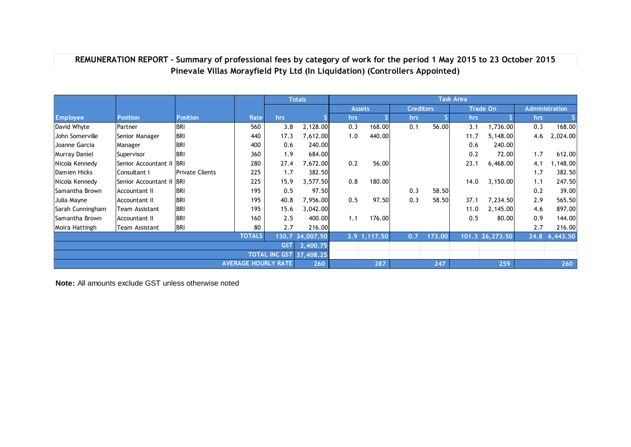## **REMUNERATION REPORT - Summary of professional fees by category of work for the period 1 May 2015 to 23 October 2015 Pinevale Villas Morayfield Pty Ltd (In Liquidation) (Controllers Appointed)**

|                                |                             |                        |                            |          | <b>Totals</b>   |     |                |                  |        | <b>Task Area</b> |                  |     |                       |
|--------------------------------|-----------------------------|------------------------|----------------------------|----------|-----------------|-----|----------------|------------------|--------|------------------|------------------|-----|-----------------------|
|                                |                             |                        |                            |          |                 |     | <b>Assets</b>  | <b>Creditors</b> |        |                  | <b>Trade On</b>  |     | <b>Administration</b> |
| <b>Employee</b>                | <b>Position</b>             | <b>Position</b>        | Rate                       | hrs      |                 | hrs |                | hrs              |        | hrs              |                  | hrs |                       |
| David Whyte                    | <b>Partner</b>              | BRI                    | 560                        | 3.8      | 2,128.00        | 0.3 | 168.00         | 0.1              | 56.00  | 3.1              | 1,736.00         | 0.3 | 168.00                |
| John Somerville                | Senior Manager              | <b>BRI</b>             | 440                        | 17.3     | 7,612.00        | 1.0 | 440.00         |                  |        | 11.7             | 5,148.00         | 4.6 | 2,024.00              |
| Joanne Garcia                  | Manager                     | BRI                    | 400                        | 0.6      | 240.00          |     |                |                  |        | 0.6              | 240.00           |     |                       |
| Murray Daniel                  | Supervisor                  | BRI                    | 360                        | 1.9      | 684.00          |     |                |                  |        | 0.2              | 72.00            | 1.7 | 612.00                |
| Nicola Kennedy                 | <b>Senior Accountant II</b> | <b>IBRI</b>            | 280                        | 27.4     | 7,672.00        | 0.2 | 56.00          |                  |        | 23.1             | 6,468.00         | 4.1 | ,148.00               |
| Damien Hicks                   | Consultant I                | <b>Private Clients</b> | 225                        | 1.7      | 382.50          |     |                |                  |        |                  |                  | 1.7 | 382.50                |
| Nicola Kennedy                 | Senior Accountant II        | <b>IBRI</b>            | 225                        | 15.9     | 3,577.50        | 0.8 | 180.00         |                  |        | 14.0             | 3,150.00         | 1.1 | 247.50                |
| Samantha Brown                 | Accountant II               | <b>BRI</b>             | 195                        | 0.5      | 97.50           |     |                | 0.3              | 58.50  |                  |                  | 0.2 | 39.00                 |
| Julia Mayne                    | Accountant II               | BRI                    | 195                        | 40.8     | 7,956.00        | 0.5 | 97.50          | 0.3              | 58.50  | 37.1             | 7,234.50         | 2.9 | 565.50                |
| Sarah Cunningham               | Team Assistant              | <b>BRI</b>             | 195                        | 15.6     | 3,042.00        |     |                |                  |        | 11.0             | 2,145.00         | 4.6 | 897.00                |
| Samantha Brown                 | Accountant II               | BRI                    | 160                        | 2.5      | 400.00          | 1.1 | 176.00         |                  |        | 0.5              | 80.00            | 0.9 | 144.00                |
| Moira Hattingh                 | Team Assistant              | <b>BRI</b>             | 80                         | 2.7      | 216.00          |     |                |                  |        |                  |                  | 2.7 | 216.00                |
|                                |                             |                        | <b>TOTALS</b>              |          | 130.7 34,007.50 |     | $3.9$ 1,117.50 | 0.7              | 173.00 |                  | 101.3 26, 273.50 |     | 24.8 6,443.50         |
| <b>GST</b>                     |                             |                        |                            | 3,400.75 |                 |     |                |                  |        |                  |                  |     |                       |
| <b>TOTAL INC GST 37,408.25</b> |                             |                        |                            |          |                 |     |                |                  |        |                  |                  |     |                       |
|                                |                             |                        | <b>AVERAGE HOURLY RATE</b> |          | 260             |     | 287            |                  | 247    |                  | 259              |     | 260                   |

**Note:** All amounts exclude GST unless otherwise noted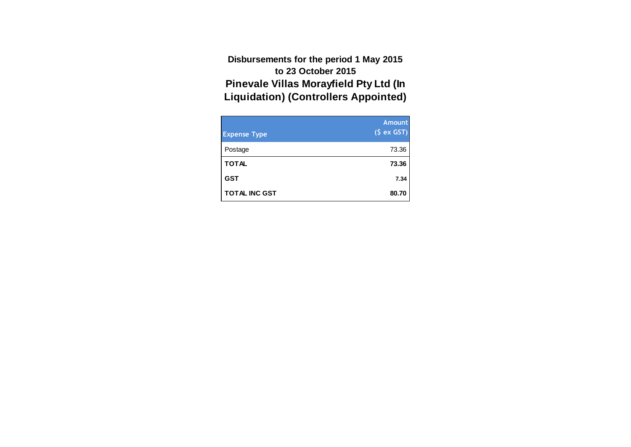**Pinevale Villas Morayfield Pty Ltd (In Liquidation) (Controllers Appointed) Disbursements for the period 1 May 2015 to 23 October 2015**

| <b>Expense Type</b>  | <b>Amount</b><br>(S ex GST) |
|----------------------|-----------------------------|
| Postage              | 73.36                       |
| <b>TOTAL</b>         | 73.36                       |
| <b>GST</b>           | 7.34                        |
| <b>TOTAL INC GST</b> | 80.70                       |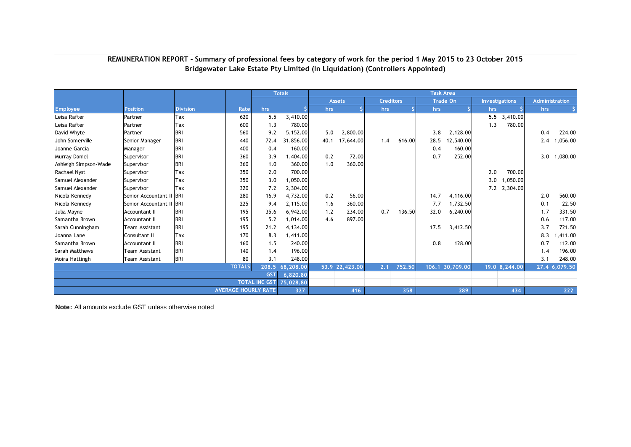|                            |                       |                 |               |                      | <b>Totals</b> | <b>Task Area</b> |                |                  |        |      |                 |                       |               |                       |               |
|----------------------------|-----------------------|-----------------|---------------|----------------------|---------------|------------------|----------------|------------------|--------|------|-----------------|-----------------------|---------------|-----------------------|---------------|
|                            |                       |                 |               |                      |               |                  | <b>Assets</b>  | <b>Creditors</b> |        |      | <b>Trade On</b> | <b>Investigations</b> |               | <b>Administration</b> |               |
| <b>Employee</b>            | <b>Position</b>       | <b>Division</b> | Rate          | hrs                  |               | hrs              |                | hrs              |        | hrs  |                 | hrs                   |               | hrs                   |               |
| Leisa Rafter               | Partner               | Tax             | 620           | 5.5                  | 3,410.00      |                  |                |                  |        |      |                 |                       | 5.5 3,410.00  |                       |               |
| Leisa Rafter               | Partner               | Tax             | 600           | 1.3                  | 780.00        |                  |                |                  |        |      |                 | 1.3                   | 780.00        |                       |               |
| David Whyte                | Partner               | <b>BRI</b>      | 560           | 9.2                  | 5,152.00      | 5.0              | 2,800.00       |                  |        | 3.8  | 2,128.00        |                       |               | 0.4                   | 224.00        |
| John Somerville            | Senior Manager        | <b>BRI</b>      | 440           | 72.4                 | 31,856.00     | 40.1             | 17,644.00      | 1.4              | 616.00 | 28.5 | 12,540.00       |                       |               | 2.4                   | ,056.00       |
| Joanne Garcia              | Manager               | <b>BRI</b>      | 400           | 0.4                  | 160.00        |                  |                |                  |        | 0.4  | 160.00          |                       |               |                       |               |
| Murray Daniel              | Supervisor            | <b>BRI</b>      | 360           | 3.9                  | ,404.00       | 0.2              | 72.00          |                  |        | 0.7  | 252.00          |                       |               | 3.0                   | 1,080.00      |
| Ashleigh Simpson-Wade      | Supervisor            | <b>BRI</b>      | 360           | 1.0                  | 360.00        | 1.0              | 360.00         |                  |        |      |                 |                       |               |                       |               |
| <b>Rachael Nyst</b>        | Supervisor            | Tax             | 350           | 2.0                  | 700.00        |                  |                |                  |        |      |                 | 2.0                   | 700.00        |                       |               |
| Samuel Alexander           | Supervisor            | Tax             | 350           | 3.0                  | 1,050.00      |                  |                |                  |        |      |                 | 3.0                   | 0.050.00      |                       |               |
| Samuel Alexander           | Supervisor            | Tax             | 320           | 7.2                  | 2,304.00      |                  |                |                  |        |      |                 |                       | 7.2 2,304.00  |                       |               |
| Nicola Kennedy             | Senior Accountant II  | <b>BRI</b>      | 280           | 16.9                 | 4,732.00      | 0.2              | 56.00          |                  |        | 14.7 | 4,116.00        |                       |               | 2.0                   | 560.00        |
| Nicola Kennedy             | Senior Accountant II  | <b>BRI</b>      | 225           | 9.4                  | 2,115.00      | 1.6              | 360.00         |                  |        | 7.7  | 1,732.50        |                       |               | 0.1                   | 22.50         |
| Julia Mayne                | Accountant II         | <b>BRI</b>      | 195           | 35.6                 | 6,942.00      | 1.2              | 234.00         | 0.7              | 136.50 | 32.0 | 6,240.00        |                       |               | 1.7                   | 331.50        |
| Samantha Brown             | <b>Accountant II</b>  | <b>BRI</b>      | 195           | 5.2                  | 1,014.00      | 4.6              | 897.00         |                  |        |      |                 |                       |               | 0.6                   | 117.00        |
| Sarah Cunningham           | <b>Team Assistant</b> | <b>BRI</b>      | 195           | 21.2                 | 4,134.00      |                  |                |                  |        | 17.5 | 3,412.50        |                       |               | 3.7                   | 721.50        |
| Joanna Lane                | Consultant II         | Tax             | 170           | 8.3                  | 1,411.00      |                  |                |                  |        |      |                 |                       |               | 8.3                   | ,411.00       |
| Samantha Brown             | Accountant II         | <b>BRI</b>      | 160           | 1.5                  | 240.00        |                  |                |                  |        | 0.8  | 128.00          |                       |               | 0.7                   | 112.00        |
| Sarah Matthews             | Team Assistant        | <b>BRI</b>      | 140           | 1.4                  | 196.00        |                  |                |                  |        |      |                 |                       |               | 1.4                   | 196.00        |
| Moira Hattingh             | <b>Team Assistant</b> | <b>BRI</b>      | 80            | 3.1                  | 248.00        |                  |                |                  |        |      |                 |                       |               | 3.1                   | 248.00        |
|                            |                       |                 | <b>TOTALS</b> | 208.5                | 68,208.00     |                  | 53.9 22,423.00 | 2.1              | 752.50 |      | 106.1 30,709.00 |                       | 19.0 8,244.00 |                       | 27.4 6,079.50 |
|                            |                       |                 |               | <b>GST</b>           | 6,820.80      |                  |                |                  |        |      |                 |                       |               |                       |               |
|                            |                       |                 |               | <b>TOTAL INC GST</b> | 75,028.80     |                  |                |                  |        |      |                 |                       |               |                       |               |
| <b>AVERAGE HOURLY RATE</b> |                       |                 |               | 327                  |               | 416              |                | 358              |        | 289  |                 | 434                   |               | 222                   |               |

## **Bridgewater Lake Estate Pty Limited (In Liquidation) (Controllers Appointed) REMUNERATION REPORT - Summary of professional fees by category of work for the period 1 May 2015 to 23 October 2015**

**Note:** All amounts exclude GST unless otherwise noted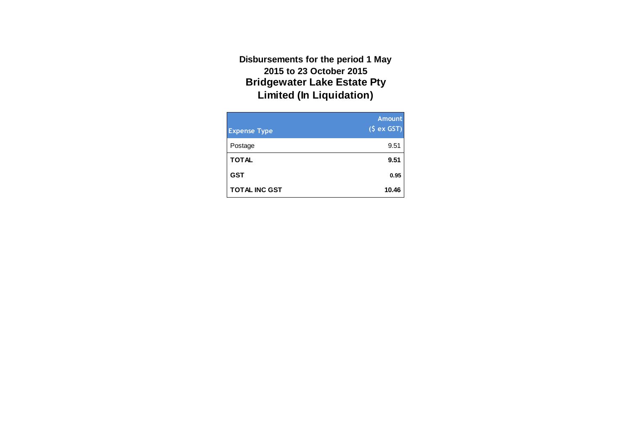**Bridgewater Lake Estate Pty Limited (In Liquidation) Disbursements for the period 1 May 2015 to 23 October 2015**

| <b>Expense Type</b>  | <b>Amount</b><br>$(\xi ex GST)$ |
|----------------------|---------------------------------|
| Postage              | 9.51                            |
| <b>TOTAL</b>         | 9.51                            |
| <b>GST</b>           | 0.95                            |
| <b>TOTAL INC GST</b> | 10.46                           |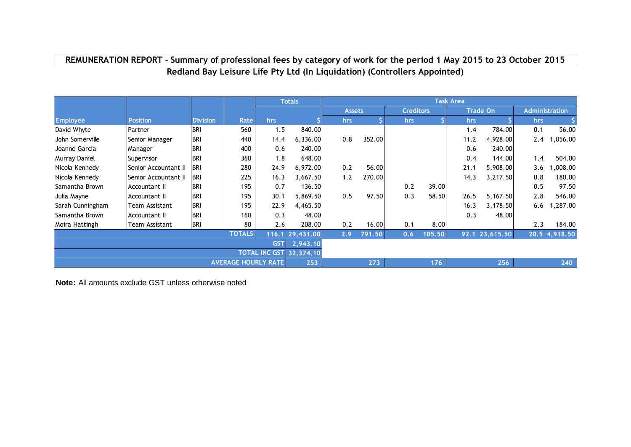# **Redland Bay Leisure Life Pty Ltd (In Liquidation) (Controllers Appointed) REMUNERATION REPORT - Summary of professional fees by category of work for the period 1 May 2015 to 23 October 2015**

|                            |                      |                 |               | <b>Totals</b> |                 |               | <b>Task Area</b> |                  |        |      |                 |      |                       |  |
|----------------------------|----------------------|-----------------|---------------|---------------|-----------------|---------------|------------------|------------------|--------|------|-----------------|------|-----------------------|--|
|                            |                      |                 |               |               |                 | <b>Assets</b> |                  | <b>Creditors</b> |        |      | <b>Trade On</b> |      | <b>Administration</b> |  |
| <b>Employee</b>            | <b>Position</b>      | <b>Division</b> | Rate          | hrs           |                 | <b>hrs</b>    |                  | hrs              |        | hrs  |                 | hrs. |                       |  |
| David Whyte                | Partner              | <b>BRI</b>      | 560           | 1.5           | 840.00          |               |                  |                  |        | 1.4  | 784.00          | 0.1  | 56.00                 |  |
| John Somerville            | Senior Manager       | <b>BRI</b>      | 440           | 14.4          | 6,336.00        | 0.8           | 352.00           |                  |        | 11.2 | 4,928.00        | 2.4  | ,056.00               |  |
| Joanne Garcia              | Manager              | <b>BRI</b>      | 400           | 0.6           | 240.00          |               |                  |                  |        | 0.6  | 240.00          |      |                       |  |
| Murray Daniel              | Supervisor           | <b>BRI</b>      | 360           | 1.8           | 648.00          |               |                  |                  |        | 0.4  | 144.00          | 1.4  | 504.00                |  |
| Nicola Kennedy             | Senior Accountant II | <b>IBRI</b>     | 280           | 24.9          | 6,972.00        | 0.2           | 56.00            |                  |        | 21.1 | 5,908.00        | 3.6  | ,008.00               |  |
| Nicola Kennedy             | Senior Accountant II | <b>IBRI</b>     | 225           | 16.3          | 3,667.50        | 1.2           | 270.00           |                  |        | 14.3 | 3,217.50        | 0.8  | 180.00                |  |
| lSamantha Brown            | Accountant II        | <b>BRI</b>      | 195           | 0.7           | 136.50          |               |                  | 0.2              | 39.00  |      |                 | 0.5  | 97.50                 |  |
| Julia Mayne                | Accountant II        | <b>BRI</b>      | 195           | 30.1          | 5,869.50        | 0.5           | 97.50            | 0.3              | 58.50  | 26.5 | 5,167.50        | 2.8  | 546.00                |  |
| Sarah Cunningham           | Team Assistant       | <b>BRI</b>      | 195           | 22.9          | 4,465.50        |               |                  |                  |        | 16.3 | 3,178.50        | 6.6  | ,287.00               |  |
| Samantha Brown             | Accountant II        | <b>BRI</b>      | 160           | 0.3           | 48.00           |               |                  |                  |        | 0.3  | 48.00           |      |                       |  |
| Moira Hattingh             | Team Assistant       | <b>BRI</b>      | 80            | 2.6           | 208.00          | 0.2           | 16.00            | 0.1              | 8.00   |      |                 | 2.3  | 184.00                |  |
|                            |                      |                 | <b>TOTALS</b> |               | 116.1 29,431.00 | 2.9           | 791.50           | 0.6              | 105.50 | 92.1 | 23,615.50       |      | 20.5 4,918.50         |  |
|                            |                      |                 |               | <b>GST</b>    | 2,943.10        |               |                  |                  |        |      |                 |      |                       |  |
| <b>TOTAL INC GST</b>       |                      |                 |               |               | 32,374.10       |               |                  |                  |        |      |                 |      |                       |  |
| <b>AVERAGE HOURLY RATE</b> |                      |                 |               |               |                 |               | 273              |                  | 176    |      | 256             |      | 240                   |  |

**Note:** All amounts exclude GST unless otherwise noted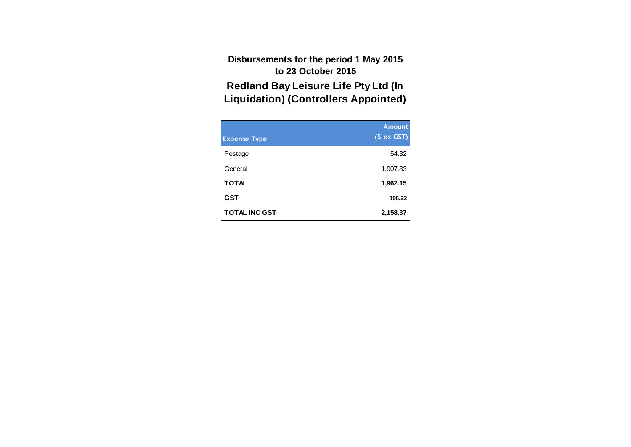**Redland Bay Leisure Life Pty Ltd (In Liquidation) (Controllers Appointed) Disbursements for the period 1 May 2015 to 23 October 2015**

| <b>Expense Type</b>  | <b>Amount</b><br>(S ex GST) |
|----------------------|-----------------------------|
| Postage              | 54.32                       |
| General              | 1,907.83                    |
| <b>TOTAL</b>         | 1,962.15                    |
| <b>GST</b>           | 196.22                      |
| <b>TOTAL INC GST</b> | 2,158.37                    |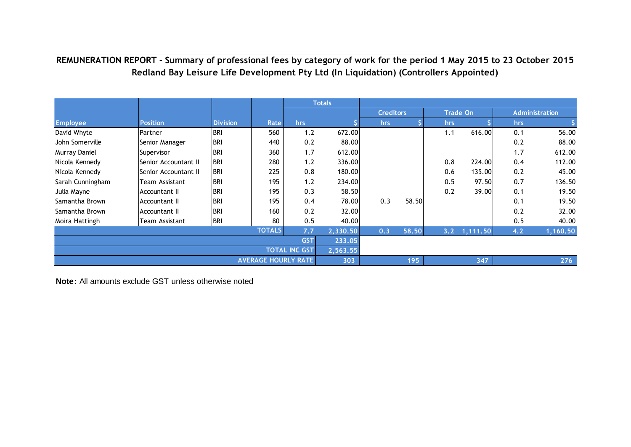# **Redland Bay Leisure Life Development Pty Ltd (In Liquidation) (Controllers Appointed) REMUNERATION REPORT - Summary of professional fees by category of work for the period 1 May 2015 to 23 October 2015**

|                            |                      |                 |               |            | <b>Totals</b> |                  |       |      |                 |     |                       |
|----------------------------|----------------------|-----------------|---------------|------------|---------------|------------------|-------|------|-----------------|-----|-----------------------|
|                            |                      |                 |               |            |               | <b>Creditors</b> |       |      | <b>Trade On</b> |     | <b>Administration</b> |
| <b>Employee</b>            | <b>Position</b>      | <b>Division</b> | Rate          | hrs.       |               | hrs              |       | hrs. |                 | hrs |                       |
| David Whyte                | Partner              | <b>BRI</b>      | 560           | 1.2        | 672.00        |                  |       | 1.1  | 616.00          | 0.1 | 56.00                 |
| John Somerville            | Senior Manager       | <b>BRI</b>      | 440           | 0.2        | 88.00         |                  |       |      |                 | 0.2 | 88.00                 |
| <b>Murray Daniel</b>       | Supervisor           | <b>BRI</b>      | 360           | 1.7        | 612.00        |                  |       |      |                 | 1.7 | 612.00                |
| Nicola Kennedy             | Senior Accountant II | <b>BRI</b>      | 280           | 1.2        | 336.00        |                  |       | 0.8  | 224.00          | 0.4 | 112.00                |
| Nicola Kennedy             | Senior Accountant II | <b>BRI</b>      | 225           | 0.8        | 180.00        |                  |       | 0.6  | 135.00          | 0.2 | 45.00                 |
| Sarah Cunningham           | Team Assistant       | <b>BRI</b>      | 195           | 1.2        | 234.00        |                  |       | 0.5  | 97.50           | 0.7 | 136.50                |
| Julia Mayne                | Accountant II        | <b>BRI</b>      | 195           | 0.3        | 58.50         |                  |       | 0.2  | 39.00           | 0.1 | 19.50                 |
| <b>Samantha Brown</b>      | Accountant II        | <b>BRI</b>      | 195           | 0.4        | 78.00         | 0.3              | 58.50 |      |                 | 0.1 | 19.50                 |
| Samantha Brown             | Accountant II        | <b>BRI</b>      | 160           | 0.2        | 32.00         |                  |       |      |                 | 0.2 | 32.00                 |
| Moira Hattingh             | Team Assistant       | <b>BRI</b>      | 80            | 0.5        | 40.00         |                  |       |      |                 | 0.5 | 40.00                 |
|                            |                      |                 | <b>TOTALS</b> | 7.7        | 2,330.50      | 0.3              | 58.50 | 3.2  | 1,111.50        | 4.2 | 1,160.50              |
|                            |                      |                 |               | <b>GST</b> | 233.05        |                  |       |      |                 |     |                       |
| <b>TOTAL INC GST</b>       |                      |                 |               |            | 2,563.55      |                  |       |      |                 |     |                       |
| <b>AVERAGE HOURLY RATE</b> |                      |                 |               |            | 303           |                  | 195   |      | 347             |     | 276                   |

**Note:** All amounts exclude GST unless otherwise noted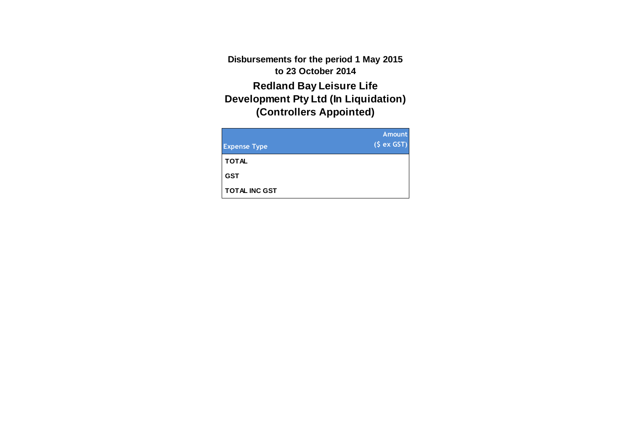**Disbursements for the period 1 May 2015 to 23 October 2014**

**Redland Bay Leisure Life Development Pty Ltd (In Liquidation) (Controllers Appointed)**

| <b>Expense Type</b>  | <b>Amount</b><br>(S ex GST) |
|----------------------|-----------------------------|
| <b>TOTAL</b>         |                             |
| <b>GST</b>           |                             |
| <b>TOTAL INC GST</b> |                             |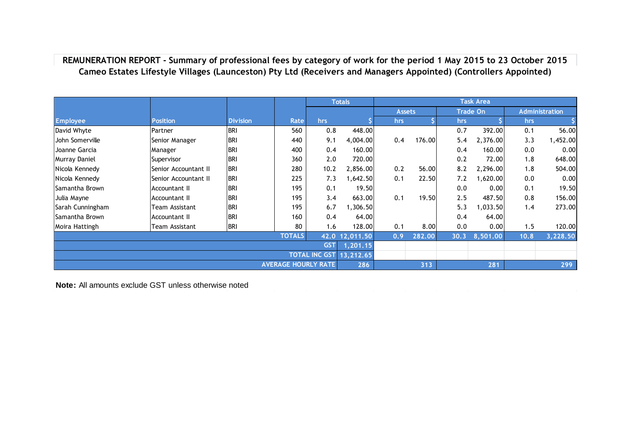**REMUNERATION REPORT - Summary of professional fees by category of work for the period 1 May 2015 to 23 October 2015 Cameo Estates Lifestyle Villages (Launceston) Pty Ltd (Receivers and Managers Appointed) (Controllers Appointed)**

|                                |                      |                 |                            |      | <b>Totals</b>  |               |        |      | <b>Task Area</b> |      |                       |
|--------------------------------|----------------------|-----------------|----------------------------|------|----------------|---------------|--------|------|------------------|------|-----------------------|
|                                |                      |                 |                            |      |                | <b>Assets</b> |        |      | <b>Trade On</b>  |      | <b>Administration</b> |
| <b>Employee</b>                | <b>Position</b>      | <b>Division</b> | Rate                       | hrs  |                | hrs           |        | hrs  |                  | hrs  |                       |
| David Whyte                    | Partner              | <b>BRI</b>      | 560                        | 0.8  | 448.00         |               |        | 0.7  | 392.00           | 0.1  | 56.00                 |
| John Somerville                | Senior Manager       | <b>BRI</b>      | 440                        | 9.1  | 4,004.00       | 0.4           | 176.00 | 5.4  | 2,376.00         | 3.3  | 1,452.00              |
| Joanne Garcia                  | Manager              | <b>BRI</b>      | 400                        | 0.4  | 160.00         |               |        | 0.4  | 160.00           | 0.0  | 0.00                  |
| Murray Daniel                  | Supervisor           | <b>BRI</b>      | 360                        | 2.0  | 720.00         |               |        | 0.2  | 72.00            | 1.8  | 648.00                |
| Nicola Kennedy                 | Senior Accountant II | <b>BRI</b>      | 280                        | 10.2 | 2,856.00       | 0.2           | 56.00  | 8.2  | 2,296.00         | 1.8  | 504.00                |
| Nicola Kennedy                 | Senior Accountant II | <b>BRI</b>      | 225                        | 7.3  | 1,642.50       | 0.1           | 22.50  | 7.2  | 1,620.00         | 0.0  | 0.00                  |
| Samantha Brown                 | Accountant II        | <b>BRI</b>      | 195                        | 0.1  | 19.50          |               |        | 0.0  | 0.00             | 0.1  | 19.50                 |
| Julia Mayne                    | Accountant II        | <b>BRI</b>      | 195                        | 3.4  | 663.00         | 0.1           | 19.50  | 2.5  | 487.50           | 0.8  | 156.00                |
| Sarah Cunningham               | Team Assistant       | <b>BRI</b>      | 195                        | 6.7  | 1,306.50       |               |        | 5.3  | 1,033.50         | 1.4  | 273.00                |
| Samantha Brown                 | Accountant II        | <b>BRI</b>      | 160                        | 0.4  | 64.00          |               |        | 0.4  | 64.00            |      |                       |
| Moira Hattingh                 | Team Assistant       | <b>BRI</b>      | 80                         | 1.6  | 128.00         | 0.1           | 8.00   | 0.0  | 0.00             | 1.5  | 120.00                |
|                                |                      |                 | <b>TOTALS</b>              |      | 42.0 12,011.50 | 0.9           | 282.00 | 30.3 | 8,501.00         | 10.8 | 3,228.50              |
| <b>GST</b>                     |                      |                 |                            |      | 1,201.15       |               |        |      |                  |      |                       |
| <b>TOTAL INC GST 13,212.65</b> |                      |                 |                            |      |                |               |        |      |                  |      |                       |
|                                |                      |                 | <b>AVERAGE HOURLY RATE</b> |      |                |               |        |      | 281              |      | 299                   |

**Note:** All amounts exclude GST unless otherwise noted